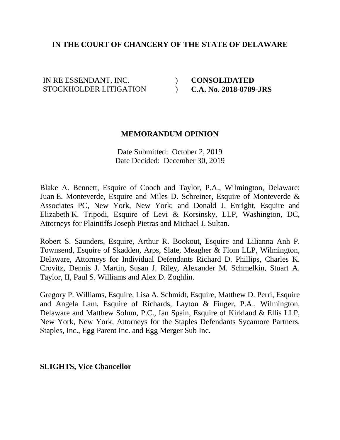# **IN THE COURT OF CHANCERY OF THE STATE OF DELAWARE**

IN RE ESSENDANT, INC. STOCKHOLDER LITIGATION  $\overline{)}$  $\mathcal{L}$  **CONSOLIDATED C.A. No. 2018-0789-JRS**

#### **MEMORANDUM OPINION**

Date Submitted: October 2, 2019 Date Decided: December 30, 2019

Blake A. Bennett, Esquire of Cooch and Taylor, P.A., Wilmington, Delaware; Juan E. Monteverde, Esquire and Miles D. Schreiner, Esquire of Monteverde & Associates PC, New York, New York; and Donald J. Enright, Esquire and Elizabeth K. Tripodi, Esquire of Levi & Korsinsky, LLP, Washington, DC, Attorneys for Plaintiffs Joseph Pietras and Michael J. Sultan.

Robert S. Saunders, Esquire, Arthur R. Bookout, Esquire and Lilianna Anh P. Townsend, Esquire of Skadden, Arps, Slate, Meagher & Flom LLP, Wilmington, Delaware, Attorneys for Individual Defendants Richard D. Phillips, Charles K. Crovitz, Dennis J. Martin, Susan J. Riley, Alexander M. Schmelkin, Stuart A. Taylor, II, Paul S. Williams and Alex D. Zoghlin.

Gregory P. Williams, Esquire, Lisa A. Schmidt, Esquire, Matthew D. Perri, Esquire and Angela Lam, Esquire of Richards, Layton & Finger, P.A., Wilmington, Delaware and Matthew Solum, P.C., Ian Spain, Esquire of Kirkland & Ellis LLP, New York, New York, Attorneys for the Staples Defendants Sycamore Partners, Staples, Inc., Egg Parent Inc. and Egg Merger Sub Inc.

### **SLIGHTS, Vice Chancellor**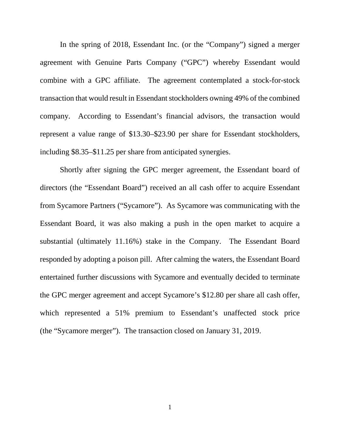In the spring of 2018, Essendant Inc. (or the "Company") signed a merger agreement with Genuine Parts Company ("GPC") whereby Essendant would combine with a GPC affiliate. The agreement contemplated a stock-for-stock transaction that would result in Essendant stockholders owning 49% of the combined company. According to Essendant's financial advisors, the transaction would represent a value range of \$13.30–\$23.90 per share for Essendant stockholders, including \$8.35–\$11.25 per share from anticipated synergies.

Shortly after signing the GPC merger agreement, the Essendant board of directors (the "Essendant Board") received an all cash offer to acquire Essendant from Sycamore Partners ("Sycamore"). As Sycamore was communicating with the Essendant Board, it was also making a push in the open market to acquire a substantial (ultimately 11.16%) stake in the Company. The Essendant Board responded by adopting a poison pill. After calming the waters, the Essendant Board entertained further discussions with Sycamore and eventually decided to terminate the GPC merger agreement and accept Sycamore's \$12.80 per share all cash offer, which represented a 51% premium to Essendant's unaffected stock price (the "Sycamore merger"). The transaction closed on January 31, 2019.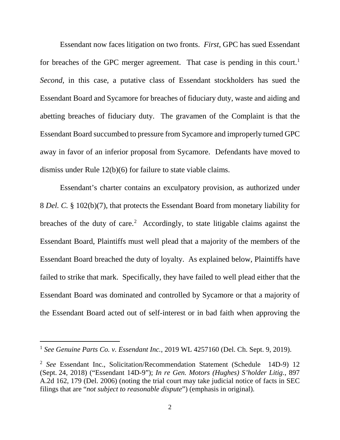Essendant now faces litigation on two fronts. *First*, GPC has sued Essendant for breaches of the GPC merger agreement. That case is pending in this court.<sup>1</sup> *Second*, in this case, a putative class of Essendant stockholders has sued the Essendant Board and Sycamore for breaches of fiduciary duty, waste and aiding and abetting breaches of fiduciary duty. The gravamen of the Complaint is that the Essendant Board succumbed to pressure from Sycamore and improperly turned GPC away in favor of an inferior proposal from Sycamore. Defendants have moved to dismiss under Rule 12(b)(6) for failure to state viable claims.

Essendant's charter contains an exculpatory provision, as authorized under 8 *Del. C.* § 102(b)(7), that protects the Essendant Board from monetary liability for breaches of the duty of care.<sup>[2](#page-2-1)</sup> Accordingly, to state litigable claims against the Essendant Board, Plaintiffs must well plead that a majority of the members of the Essendant Board breached the duty of loyalty. As explained below, Plaintiffs have failed to strike that mark. Specifically, they have failed to well plead either that the Essendant Board was dominated and controlled by Sycamore or that a majority of the Essendant Board acted out of self-interest or in bad faith when approving the

<span id="page-2-0"></span> <sup>1</sup> *See Genuine Parts Co. v. Essendant Inc.*, 2019 WL 4257160 (Del. Ch. Sept. 9, 2019).

<span id="page-2-1"></span><sup>2</sup> *See* Essendant Inc., Solicitation/Recommendation Statement (Schedule 14D-9) 12 (Sept. 24, 2018) ("Essendant 14D-9"); *In re Gen. Motors (Hughes) S'holder Litig.*, 897 A.2d 162, 179 (Del. 2006) (noting the trial court may take judicial notice of facts in SEC filings that are "*not subject to reasonable dispute*") (emphasis in original).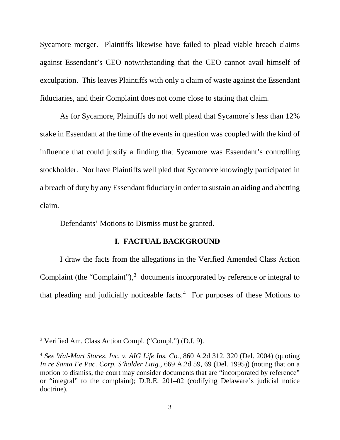Sycamore merger. Plaintiffs likewise have failed to plead viable breach claims against Essendant's CEO notwithstanding that the CEO cannot avail himself of exculpation. This leaves Plaintiffs with only a claim of waste against the Essendant fiduciaries, and their Complaint does not come close to stating that claim.

As for Sycamore, Plaintiffs do not well plead that Sycamore's less than 12% stake in Essendant at the time of the events in question was coupled with the kind of influence that could justify a finding that Sycamore was Essendant's controlling stockholder. Nor have Plaintiffs well pled that Sycamore knowingly participated in a breach of duty by any Essendant fiduciary in order to sustain an aiding and abetting claim.

Defendants' Motions to Dismiss must be granted.

### **I. FACTUAL BACKGROUND**

I draw the facts from the allegations in the Verified Amended Class Action Complaint (the "Complaint"),<sup>[3](#page-3-0)</sup> documents incorporated by reference or integral to that pleading and judicially noticeable facts. $4$  For purposes of these Motions to

<span id="page-3-0"></span> <sup>3</sup> Verified Am. Class Action Compl. ("Compl.") (D.I. 9).

<span id="page-3-1"></span><sup>4</sup> *See Wal-Mart Stores, Inc. v. AIG Life Ins. Co.*, 860 A.2d 312, 320 (Del. 2004) (quoting *In re Santa Fe Pac. Corp. S'holder Litig.*, 669 A.2d 59, 69 (Del. 1995)) (noting that on a motion to dismiss, the court may consider documents that are "incorporated by reference" or "integral" to the complaint); D.R.E. 201–02 (codifying Delaware's judicial notice doctrine).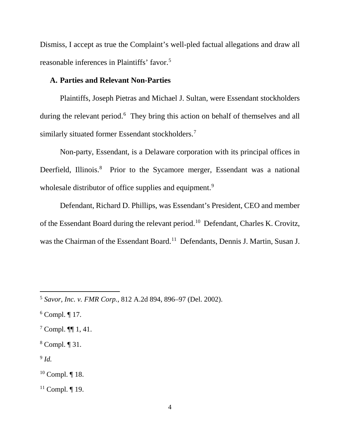Dismiss, I accept as true the Complaint's well-pled factual allegations and draw all reasonable inferences in Plaintiffs' favor.[5](#page-4-0)

# **A. Parties and Relevant Non-Parties**

Plaintiffs, Joseph Pietras and Michael J. Sultan, were Essendant stockholders during the relevant period.<sup>[6](#page-4-1)</sup> They bring this action on behalf of themselves and all similarly situated former Essendant stockholders.<sup>[7](#page-4-2)</sup>

Non-party, Essendant, is a Delaware corporation with its principal offices in Deerfield, Illinois.<sup>[8](#page-4-3)</sup> Prior to the Sycamore merger, Essendant was a national wholesale distributor of office supplies and equipment.<sup>[9](#page-4-4)</sup>

Defendant, Richard D. Phillips, was Essendant's President, CEO and member of the Essendant Board during the relevant period. [10](#page-4-5) Defendant, Charles K. Crovitz, was the Chairman of the Essendant Board.<sup>[11](#page-4-6)</sup> Defendants, Dennis J. Martin, Susan J.

<span id="page-4-4"></span> $9$  *Id.* 

<span id="page-4-0"></span> <sup>5</sup> *Savor, Inc. v. FMR Corp.*, 812 A.2d 894, 896–97 (Del. 2002).

<span id="page-4-1"></span> $6$  Compl.  $\P$  17.

<span id="page-4-2"></span><sup>7</sup> Compl. ¶¶ 1, 41.

<span id="page-4-3"></span><sup>8</sup> Compl. ¶ 31.

<span id="page-4-5"></span><sup>10</sup> Compl. ¶ 18.

<span id="page-4-6"></span> $11$  Compl.  $\P$  19.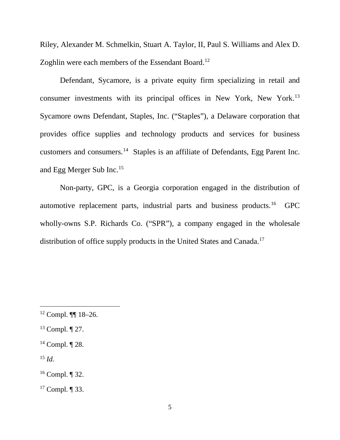Riley, Alexander M. Schmelkin, Stuart A. Taylor, II, Paul S. Williams and Alex D. Zoghlin were each members of the Essendant Board.<sup>[12](#page-5-0)</sup>

Defendant, Sycamore, is a private equity firm specializing in retail and consumer investments with its principal offices in New York, New York.[13](#page-5-1) Sycamore owns Defendant, Staples, Inc. ("Staples"), a Delaware corporation that provides office supplies and technology products and services for business customers and consumers.[14](#page-5-2) Staples is an affiliate of Defendants, Egg Parent Inc. and Egg Merger Sub Inc.[15](#page-5-3)

Non-party, GPC, is a Georgia corporation engaged in the distribution of automotive replacement parts, industrial parts and business products.[16](#page-5-4) GPC wholly-owns S.P. Richards Co. ("SPR"), a company engaged in the wholesale distribution of office supply products in the United States and Canada.<sup>[17](#page-5-5)</sup>

<span id="page-5-3"></span> $^{15}$  *Id.* 

<span id="page-5-0"></span> $12$  Compl. **[1]**  $18-26$ .

<span id="page-5-1"></span><sup>13</sup> Compl. ¶ 27.

<span id="page-5-2"></span><sup>14</sup> Compl. ¶ 28.

<span id="page-5-4"></span><sup>16</sup> Compl. ¶ 32.

<span id="page-5-5"></span><sup>17</sup> Compl. ¶ 33.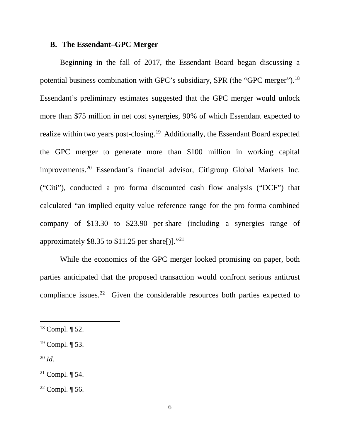### **B. The Essendant–GPC Merger**

Beginning in the fall of 2017, the Essendant Board began discussing a potential business combination with GPC's subsidiary, SPR (the "GPC merger").<sup>[18](#page-6-0)</sup> Essendant's preliminary estimates suggested that the GPC merger would unlock more than \$75 million in net cost synergies, 90% of which Essendant expected to realize within two years post-closing.[19](#page-6-1) Additionally, the Essendant Board expected the GPC merger to generate more than \$100 million in working capital improvements.[20](#page-6-2) Essendant's financial advisor, Citigroup Global Markets Inc. ("Citi"), conducted a pro forma discounted cash flow analysis ("DCF") that calculated "an implied equity value reference range for the pro forma combined company of \$13.30 to \$23.90 per share (including a synergies range of approximately \$8.35 to \$11.25 per share[)]."<sup>[21](#page-6-3)</sup>

While the economics of the GPC merger looked promising on paper, both parties anticipated that the proposed transaction would confront serious antitrust compliance issues.<sup>[22](#page-6-4)</sup> Given the considerable resources both parties expected to

<span id="page-6-0"></span> <sup>18</sup> Compl. ¶ 52.

<span id="page-6-1"></span><sup>19</sup> Compl. ¶ 53.

<span id="page-6-2"></span> $^{20}$  *Id.* 

<span id="page-6-3"></span><sup>&</sup>lt;sup>21</sup> Compl.  $\P$  54.

<span id="page-6-4"></span> $22$  Compl.  $\P$  56.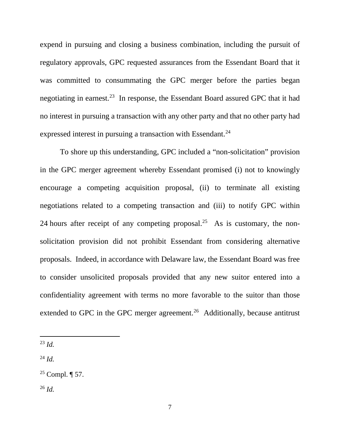expend in pursuing and closing a business combination, including the pursuit of regulatory approvals, GPC requested assurances from the Essendant Board that it was committed to consummating the GPC merger before the parties began negotiating in earnest.[23](#page-7-0) In response, the Essendant Board assured GPC that it had no interest in pursuing a transaction with any other party and that no other party had expressed interest in pursuing a transaction with Essendant.<sup>[24](#page-7-1)</sup>

To shore up this understanding, GPC included a "non-solicitation" provision in the GPC merger agreement whereby Essendant promised (i) not to knowingly encourage a competing acquisition proposal, (ii) to terminate all existing negotiations related to a competing transaction and (iii) to notify GPC within 24 hours after receipt of any competing proposal.<sup>25</sup> As is customary, the nonsolicitation provision did not prohibit Essendant from considering alternative proposals. Indeed, in accordance with Delaware law, the Essendant Board was free to consider unsolicited proposals provided that any new suitor entered into a confidentiality agreement with terms no more favorable to the suitor than those extended to GPC in the GPC merger agreement.<sup>[26](#page-7-3)</sup> Additionally, because antitrust

<span id="page-7-1"></span> $^{24}$  *Id.* 

<span id="page-7-2"></span><sup>25</sup> Compl.  $\P$  57.

<span id="page-7-3"></span><sup>26</sup> *Id.* 

<span id="page-7-0"></span> $^{23}$  *Id.*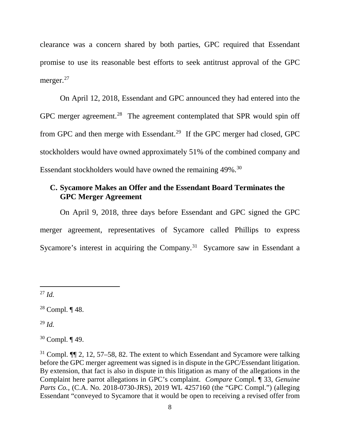clearance was a concern shared by both parties, GPC required that Essendant promise to use its reasonable best efforts to seek antitrust approval of the GPC merger.<sup>[27](#page-8-0)</sup>

On April 12, 2018, Essendant and GPC announced they had entered into the GPC merger agreement.<sup>[28](#page-8-1)</sup> The agreement contemplated that SPR would spin off from GPC and then merge with Essendant.<sup>[29](#page-8-2)</sup> If the GPC merger had closed, GPC stockholders would have owned approximately 51% of the combined company and Essendant stockholders would have owned the remaining 49%.<sup>30</sup>

# **C. Sycamore Makes an Offer and the Essendant Board Terminates the GPC Merger Agreement**

On April 9, 2018, three days before Essendant and GPC signed the GPC merger agreement, representatives of Sycamore called Phillips to express Sycamore's interest in acquiring the Company.<sup>[31](#page-8-4)</sup> Sycamore saw in Essendant a

<span id="page-8-2"></span> $^{29}$  *Id.* 

<span id="page-8-3"></span><sup>30</sup> Compl. ¶ 49.

<span id="page-8-0"></span> $^{27}$  *Id.* 

<span id="page-8-1"></span><sup>28</sup> Compl. ¶ 48.

<span id="page-8-4"></span><sup>31</sup> Compl. ¶¶ 2, 12, 57–58, 82. The extent to which Essendant and Sycamore were talking before the GPC merger agreement was signed is in dispute in the GPC/Essendant litigation. By extension, that fact is also in dispute in this litigation as many of the allegations in the Complaint here parrot allegations in GPC's complaint. *Compare* Compl. ¶ 33, *Genuine Parts Co.*, (C.A. No. 2018-0730-JRS), 2019 WL 4257160 (the "GPC Compl.") (alleging Essendant "conveyed to Sycamore that it would be open to receiving a revised offer from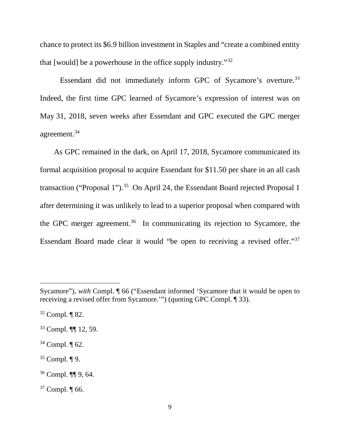chance to protect its \$6.9 billion investment in Staples and "create a combined entity that [would] be a powerhouse in the office supply industry."[32](#page-9-0)

Essendant did not immediately inform GPC of Sycamore's overture.<sup>[33](#page-9-1)</sup> Indeed, the first time GPC learned of Sycamore's expression of interest was on May 31, 2018, seven weeks after Essendant and GPC executed the GPC merger agreement.[34](#page-9-2)

As GPC remained in the dark, on April 17, 2018, Sycamore communicated its formal acquisition proposal to acquire Essendant for \$11.50 per share in an all cash transaction ("Proposal 1").<sup>35</sup> On April 24, the Essendant Board rejected Proposal 1 after determining it was unlikely to lead to a superior proposal when compared with the GPC merger agreement.<sup>[36](#page-9-4)</sup> In communicating its rejection to Sycamore, the Essendant Board made clear it would "be open to receiving a revised offer."[37](#page-9-5)

 $\overline{a}$ 

- <span id="page-9-2"></span> $34$  Compl.  $\P$  62.
- <span id="page-9-3"></span> $35$  Compl.  $\P$  9.
- <span id="page-9-4"></span><sup>36</sup> Compl. ¶¶ 9, 64.
- <span id="page-9-5"></span><sup>37</sup> Compl. ¶ 66.

Sycamore"), *with* Compl. ¶ 66 ("Essendant informed 'Sycamore that it would be open to receiving a revised offer from Sycamore.'") (quoting GPC Compl. ¶ 33).

<span id="page-9-0"></span> $32$  Compl. ¶ 82.

<span id="page-9-1"></span><sup>33</sup> Compl. ¶¶ 12, 59.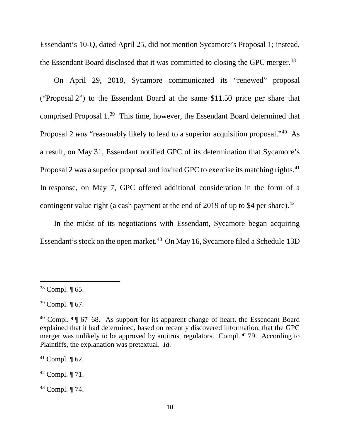Essendant's 10-Q, dated April 25, did not mention Sycamore's Proposal 1; instead, the Essendant Board disclosed that it was committed to closing the GPC merger.[38](#page-10-0)

On April 29, 2018, Sycamore communicated its "renewed" proposal ("Proposal 2") to the Essendant Board at the same \$11.50 price per share that comprised Proposal 1. [39](#page-10-1) This time, however, the Essendant Board determined that Proposal 2 *was* "reasonably likely to lead to a superior acquisition proposal."[40](#page-10-2) As a result, on May 31, Essendant notified GPC of its determination that Sycamore's Proposal 2 was a superior proposal and invited GPC to exercise its matching rights.<sup>[41](#page-10-3)</sup> In response, on May 7, GPC offered additional consideration in the form of a contingent value right (a cash payment at the end of 2019 of up to \$4 per share).<sup>42</sup>

In the midst of its negotiations with Essendant, Sycamore began acquiring Essendant's stock on the open market.<sup>43</sup> On May 16, Sycamore filed a Schedule 13D

<span id="page-10-3"></span> $41$  Compl.  $\P$  62.

<span id="page-10-4"></span><sup>42</sup> Compl. ¶ 71.

<span id="page-10-5"></span><sup>43</sup> Compl. ¶ 74.

<span id="page-10-0"></span> <sup>38</sup> Compl. ¶ 65.

<span id="page-10-1"></span> $39$  Compl.  $\P$  67.

<span id="page-10-2"></span><sup>40</sup> Compl. ¶¶ 67–68. As support for its apparent change of heart, the Essendant Board explained that it had determined, based on recently discovered information, that the GPC merger was unlikely to be approved by antitrust regulators. Compl. ¶ 79. According to Plaintiffs, the explanation was pretextual. *Id.*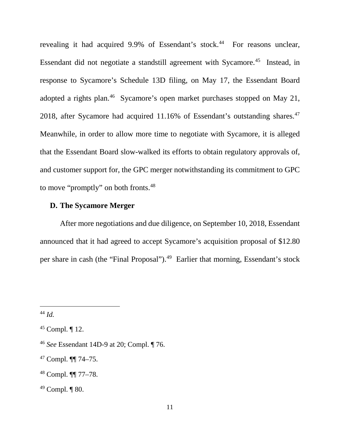revealing it had acquired 9.9% of Essendant's stock.<sup>44</sup> For reasons unclear, Essendant did not negotiate a standstill agreement with Sycamore.<sup>45</sup> Instead, in response to Sycamore's Schedule 13D filing, on May 17, the Essendant Board adopted a rights plan.<sup>[46](#page-11-2)</sup> Sycamore's open market purchases stopped on May 21, 2018, after Sycamore had acquired 11.16% of Essendant's outstanding shares. [47](#page-11-3) Meanwhile, in order to allow more time to negotiate with Sycamore, it is alleged that the Essendant Board slow-walked its efforts to obtain regulatory approvals of, and customer support for, the GPC merger notwithstanding its commitment to GPC to move "promptly" on both fronts.<sup>[48](#page-11-4)</sup>

# **D. The Sycamore Merger**

After more negotiations and due diligence, on September 10, 2018, Essendant announced that it had agreed to accept Sycamore's acquisition proposal of \$12.80 per share in cash (the "Final Proposal"). [49](#page-11-5) Earlier that morning, Essendant's stock

<span id="page-11-0"></span> <sup>44</sup> *Id.* 

<span id="page-11-1"></span> $45$  Compl.  $\P$  12.

<span id="page-11-2"></span><sup>46</sup> *See* Essendant 14D-9 at 20; Compl. ¶ 76.

<span id="page-11-3"></span><sup>47</sup> Compl. ¶¶ 74–75.

<span id="page-11-4"></span><sup>48</sup> Compl. ¶¶ 77–78.

<span id="page-11-5"></span><sup>49</sup> Compl. ¶ 80.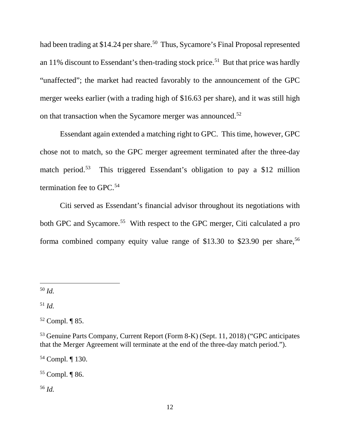had been trading at \$14.24 per share.<sup>50</sup> Thus, Sycamore's Final Proposal represented an 11% discount to Essendant's then-trading stock price.<sup>51</sup> But that price was hardly "unaffected"; the market had reacted favorably to the announcement of the GPC merger weeks earlier (with a trading high of \$16.63 per share), and it was still high on that transaction when the Sycamore merger was announced.<sup>[52](#page-12-2)</sup>

Essendant again extended a matching right to GPC. This time, however, GPC chose not to match, so the GPC merger agreement terminated after the three-day match period.<sup>[53](#page-12-3)</sup> This triggered Essendant's obligation to pay a \$12 million termination fee to GPC.<sup>[54](#page-12-4)</sup>

Citi served as Essendant's financial advisor throughout its negotiations with both GPC and Sycamore. [55](#page-12-5) With respect to the GPC merger, Citi calculated a pro forma combined company equity value range of \$13.30 to \$23.90 per share, [56](#page-12-6)

<span id="page-12-0"></span>50 *Id.*

<span id="page-12-1"></span> $51$  *Id.* 

<span id="page-12-4"></span><sup>54</sup> Compl. ¶ 130.

<span id="page-12-5"></span><sup>55</sup> Compl. ¶ 86.

<span id="page-12-6"></span><sup>56</sup> *Id.* 

<span id="page-12-2"></span> $52$  Compl. ¶ 85.

<span id="page-12-3"></span><sup>53</sup> Genuine Parts Company, Current Report (Form 8-K) (Sept. 11, 2018) ("GPC anticipates that the Merger Agreement will terminate at the end of the three-day match period.").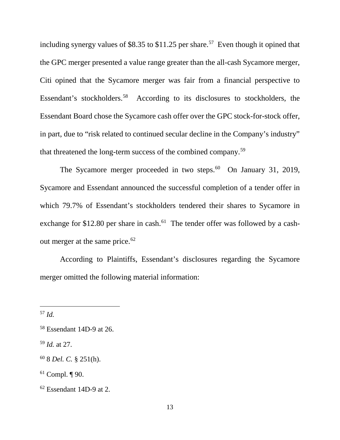including synergy values of \$8.35 to \$11.25 per share. [57](#page-13-0) Even though it opined that the GPC merger presented a value range greater than the all-cash Sycamore merger, Citi opined that the Sycamore merger was fair from a financial perspective to Essendant's stockholders.[58](#page-13-1) According to its disclosures to stockholders, the Essendant Board chose the Sycamore cash offer over the GPC stock-for-stock offer, in part, due to "risk related to continued secular decline in the Company's industry" that threatened the long-term success of the combined company.[59](#page-13-2)

The Sycamore merger proceeded in two steps. $60$  On January 31, 2019, Sycamore and Essendant announced the successful completion of a tender offer in which 79.7% of Essendant's stockholders tendered their shares to Sycamore in exchange for \$12.80 per share in cash. $^{61}$  The tender offer was followed by a cash-out merger at the same price.<sup>[62](#page-13-5)</sup>

According to Plaintiffs, Essendant's disclosures regarding the Sycamore merger omitted the following material information:

<span id="page-13-0"></span> <sup>57</sup> *Id.* 

<span id="page-13-1"></span><sup>58</sup> Essendant 14D-9 at 26.

<span id="page-13-2"></span><sup>59</sup> *Id.* at 27.

<span id="page-13-3"></span><sup>60</sup> 8 *Del. C.* § 251(h).

<span id="page-13-4"></span> $61$  Compl.  $\P$  90.

<span id="page-13-5"></span> $62$  Essendant 14D-9 at 2.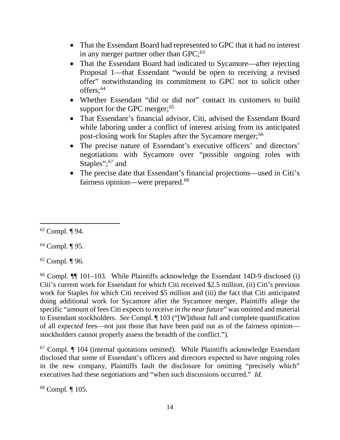- That the Essendant Board had represented to GPC that it had no interest in any merger partner other than GPC;<sup>[63](#page-14-0)</sup>
- That the Essendant Board had indicated to Sycamore—after rejecting Proposal 1—that Essendant "would be open to receiving a revised offer" notwithstanding its commitment to GPC not to solicit other offers:<sup>[64](#page-14-1)</sup>
- Whether Essendant "did or did not" contact its customers to build support for the GPC merger;<sup>[65](#page-14-2)</sup>
- That Essendant's financial advisor, Citi, advised the Essendant Board while laboring under a conflict of interest arising from its anticipated post-closing work for Staples after the Sycamore merger;<sup>[66](#page-14-3)</sup>
- The precise nature of Essendant's executive officers' and directors' negotiations with Sycamore over "possible ongoing roles with Staples";<sup>[67](#page-14-4)</sup> and
- The precise date that Essendant's financial projections—used in Citi's fairness opinion—were prepared.<sup>[68](#page-14-5)</sup>

<span id="page-14-2"></span> $65$  Compl.  $\P$  96.

<span id="page-14-3"></span><sup>66</sup> Compl. ¶¶ 101–103. While Plaintiffs acknowledge the Essendant 14D-9 disclosed (i) Citi's current work for Essendant for which Citi received \$2.5 million, (ii) Citi's previous work for Staples for which Citi received \$5 million and (iii) the fact that Citi anticipated doing additional work for Sycamore after the Sycamore merger, Plaintiffs allege the specific "amount of fees Citi expects to receive *in the near future*" was omitted and material to Essendant stockholders. *See* Compl. ¶ 103 ("[W]ithout full and complete quantification of all *expected* fees—not just those that have been paid out as of the fairness opinion stockholders cannot properly assess the breadth of the conflict.").

<span id="page-14-4"></span> $67$  Compl.  $\P$  104 (internal quotations omitted). While Plaintiffs acknowledge Essendant disclosed that some of Essendant's officers and directors expected to have ongoing roles in the new company, Plaintiffs fault the disclosure for omitting "precisely which" executives had these negotiations and "when such discussions occurred." *Id.*

<span id="page-14-5"></span><sup>68</sup> Compl. ¶ 105.

<span id="page-14-0"></span> <sup>63</sup> Compl. ¶ 94.

<span id="page-14-1"></span><sup>64</sup> Compl. ¶ 95.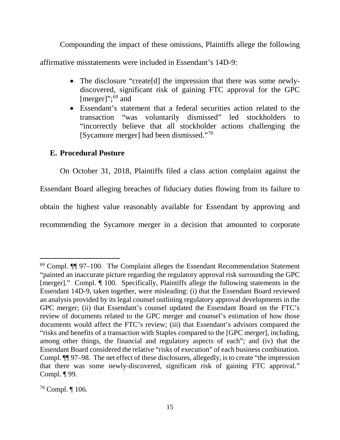Compounding the impact of these omissions, Plaintiffs allege the following affirmative misstatements were included in Essendant's 14D-9:

- The disclosure "create<sup>[d]</sup> the impression that there was some newlydiscovered, significant risk of gaining FTC approval for the GPC [merger]";<sup>[69](#page-15-0)</sup> and
- Essendant's statement that a federal securities action related to the transaction "was voluntarily dismissed" led stockholders to "incorrectly believe that all stockholder actions challenging the [Sycamore merger] had been dismissed."[70](#page-15-1)

# **E. Procedural Posture**

On October 31, 2018, Plaintiffs filed a class action complaint against the Essendant Board alleging breaches of fiduciary duties flowing from its failure to obtain the highest value reasonably available for Essendant by approving and recommending the Sycamore merger in a decision that amounted to corporate

<span id="page-15-0"></span> $69$  Compl.  $\P$  97–100. The Complaint alleges the Essendant Recommendation Statement "painted an inaccurate picture regarding the regulatory approval risk surrounding the GPC [merger]." Compl. ¶ 100. Specifically, Plaintiffs allege the following statements in the Essendant 14D-9, taken together, were misleading: (i) that the Essendant Board reviewed an analysis provided by its legal counsel outlining regulatory approval developments in the GPC merger; (ii) that Essendant's counsel updated the Essendant Board on the FTC's review of documents related to the GPC merger and counsel's estimation of how those documents would affect the FTC's review; (iii) that Essendant's advisors compared the "risks and benefits of a transaction with Staples compared to the [GPC merger], including, among other things, the financial and regulatory aspects of each"; and (iv) that the Essendant Board considered the relative "risks of execution" of each business combination. Compl. ¶¶ 97–98. The net effect of these disclosures, allegedly, is to create "the impression that there was some newly-discovered, significant risk of gaining FTC approval." Compl. ¶ 99.

<span id="page-15-1"></span><sup>70</sup> Compl. ¶ 106.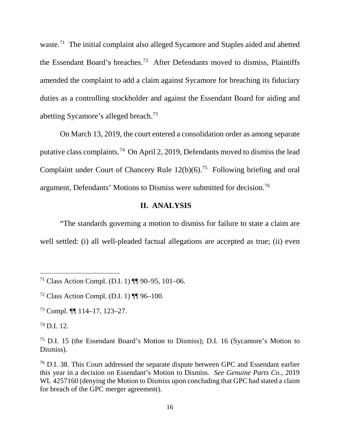waste.<sup>[71](#page-16-0)</sup> The initial complaint also alleged Sycamore and Staples aided and abetted the Essendant Board's breaches.[72](#page-16-1) After Defendants moved to dismiss, Plaintiffs amended the complaint to add a claim against Sycamore for breaching its fiduciary duties as a controlling stockholder and against the Essendant Board for aiding and abetting Sycamore's alleged breach[.73](#page-16-2)

On March 13, 2019, the court entered a consolidation order as among separate putative class complaints. [74](#page-16-3) On April 2, 2019, Defendants moved to dismiss the lead Complaint under Court of Chancery Rule 12(b)(6). [75](#page-16-4) Following briefing and oral argument, Defendants' Motions to Dismiss were submitted for decision.[76](#page-16-5)

# **II. ANALYSIS**

"The standards governing a motion to dismiss for failure to state a claim are well settled: (i) all well-pleaded factual allegations are accepted as true; (ii) even

<span id="page-16-0"></span> <sup>71</sup> Class Action Compl. (D.I. 1) ¶¶ 90–95, 101–06.

<span id="page-16-1"></span><sup>&</sup>lt;sup>72</sup> Class Action Compl. (D.I. 1)  $\P$  96–100.

<span id="page-16-2"></span><sup>73</sup> Compl. ¶¶ 114–17, 123–27.

<span id="page-16-3"></span><sup>74</sup> D.I. 12.

<span id="page-16-4"></span><sup>75</sup> D.I. 15 (the Essendant Board's Motion to Dismiss); D.I. 16 (Sycamore's Motion to Dismiss).

<span id="page-16-5"></span><sup>76</sup> D.I. 38. This Court addressed the separate dispute between GPC and Essendant earlier this year in a decision on Essendant's Motion to Dismiss. *See Genuine Parts Co.*, 2019 WL 4257160 (denying the Motion to Dismiss upon concluding that GPC had stated a claim for breach of the GPC merger agreement).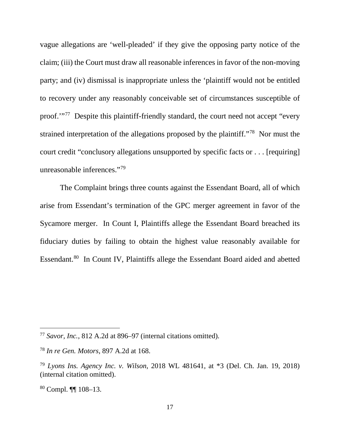vague allegations are 'well-pleaded' if they give the opposing party notice of the claim; (iii) the Court must draw all reasonable inferences in favor of the non-moving party; and (iv) dismissal is inappropriate unless the 'plaintiff would not be entitled to recovery under any reasonably conceivable set of circumstances susceptible of proof.'"[77](#page-17-0) Despite this plaintiff-friendly standard, the court need not accept "every strained interpretation of the allegations proposed by the plaintiff."[78](#page-17-1) Nor must the court credit "conclusory allegations unsupported by specific facts or . . . [requiring] unreasonable inferences."[79](#page-17-2)

The Complaint brings three counts against the Essendant Board, all of which arise from Essendant's termination of the GPC merger agreement in favor of the Sycamore merger. In Count I, Plaintiffs allege the Essendant Board breached its fiduciary duties by failing to obtain the highest value reasonably available for Essendant.[80](#page-17-3) In Count IV, Plaintiffs allege the Essendant Board aided and abetted

<span id="page-17-0"></span> <sup>77</sup> *Savor, Inc.*, 812 A.2d at 896–97 (internal citations omitted).

<span id="page-17-1"></span><sup>78</sup> *In re Gen. Motors*, 897 A.2d at 168.

<span id="page-17-2"></span><sup>79</sup> *Lyons Ins. Agency Inc. v. Wilson*, 2018 WL 481641, at \*3 (Del. Ch. Jan. 19, 2018) (internal citation omitted).

<span id="page-17-3"></span><sup>80</sup> Compl. ¶¶ 108–13.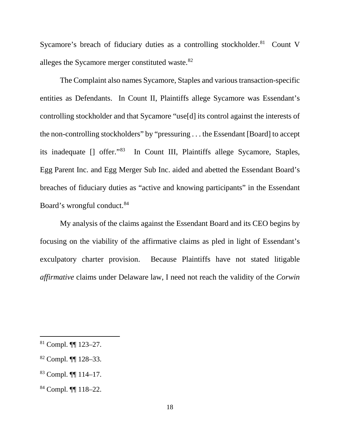Sycamore's breach of fiduciary duties as a controlling stockholder.<sup>81</sup> Count V alleges the Sycamore merger constituted waste.<sup>[82](#page-18-1)</sup>

The Complaint also names Sycamore, Staples and various transaction-specific entities as Defendants. In Count II, Plaintiffs allege Sycamore was Essendant's controlling stockholder and that Sycamore "use[d] its control against the interests of the non-controlling stockholders" by "pressuring . . . the Essendant [Board] to accept its inadequate [] offer."[83](#page-18-2) In Count III, Plaintiffs allege Sycamore, Staples, Egg Parent Inc. and Egg Merger Sub Inc. aided and abetted the Essendant Board's breaches of fiduciary duties as "active and knowing participants" in the Essendant Board's wrongful conduct.<sup>[84](#page-18-3)</sup>

My analysis of the claims against the Essendant Board and its CEO begins by focusing on the viability of the affirmative claims as pled in light of Essendant's exculpatory charter provision. Because Plaintiffs have not stated litigable *affirmative* claims under Delaware law, I need not reach the validity of the *Corwin* 

<span id="page-18-2"></span><sup>83</sup> Compl. ¶¶ 114–17.

<span id="page-18-0"></span> <sup>81</sup> Compl. ¶¶ 123–27.

<span id="page-18-1"></span><sup>82</sup> Compl. ¶¶ 128–33.

<span id="page-18-3"></span><sup>84</sup> Compl. ¶¶ 118–22.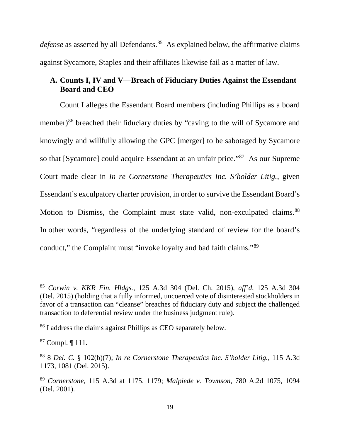*defense* as asserted by all Defendants. [85](#page-19-0) As explained below, the affirmative claims against Sycamore, Staples and their affiliates likewise fail as a matter of law.

# **A. Counts I, IV and V—Breach of Fiduciary Duties Against the Essendant Board and CEO**

Count I alleges the Essendant Board members (including Phillips as a board member)<sup>[86](#page-19-1)</sup> breached their fiduciary duties by "caving to the will of Sycamore and knowingly and willfully allowing the GPC [merger] to be sabotaged by Sycamore so that [Sycamore] could acquire Essendant at an unfair price."[87](#page-19-2) As our Supreme Court made clear in *In re Cornerstone Therapeutics Inc. S'holder Litig.*, given Essendant's exculpatory charter provision, in order to survive the Essendant Board's Motion to Dismiss, the Complaint must state valid, non-exculpated claims.<sup>[88](#page-19-3)</sup> In other words, "regardless of the underlying standard of review for the board's conduct," the Complaint must "invoke loyalty and bad faith claims."[89](#page-19-4)

<span id="page-19-0"></span> <sup>85</sup> *Corwin v. KKR Fin. Hldgs.*, 125 A.3d 304 (Del. Ch. 2015), *aff'd*, 125 A.3d 304 (Del. 2015) (holding that a fully informed, uncoerced vote of disinterested stockholders in favor of a transaction can "cleanse" breaches of fiduciary duty and subject the challenged transaction to deferential review under the business judgment rule).

<span id="page-19-1"></span><sup>86</sup> I address the claims against Phillips as CEO separately below.

<span id="page-19-2"></span><sup>87</sup> Compl. ¶ 111.

<span id="page-19-3"></span><sup>88</sup> 8 *Del. C.* § 102(b)(7); *In re Cornerstone Therapeutics Inc. S'holder Litig.*, 115 A.3d 1173, 1081 (Del. 2015).

<span id="page-19-4"></span><sup>89</sup> *Cornerstone*, 115 A.3d at 1175, 1179; *Malpiede v. Townson*, 780 A.2d 1075, 1094 (Del. 2001).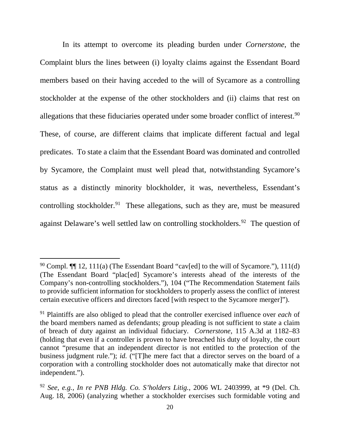In its attempt to overcome its pleading burden under *Cornerstone*, the Complaint blurs the lines between (i) loyalty claims against the Essendant Board members based on their having acceded to the will of Sycamore as a controlling stockholder at the expense of the other stockholders and (ii) claims that rest on allegations that these fiduciaries operated under some broader conflict of interest.<sup>[90](#page-20-0)</sup> These, of course, are different claims that implicate different factual and legal predicates. To state a claim that the Essendant Board was dominated and controlled by Sycamore, the Complaint must well plead that, notwithstanding Sycamore's status as a distinctly minority blockholder, it was, nevertheless, Essendant's controlling stockholder.<sup>91</sup> These allegations, such as they are, must be measured against Delaware's well settled law on controlling stockholders.[92](#page-20-2) The question of

<span id="page-20-0"></span><sup>&</sup>lt;sup>90</sup> Compl.  $\P\P$  12, 11(a) (The Essendant Board "cav[ed] to the will of Sycamore."), 111(d) (The Essendant Board "plac[ed] Sycamore's interests ahead of the interests of the Company's non-controlling stockholders."), 104 ("The Recommendation Statement fails to provide sufficient information for stockholders to properly assess the conflict of interest certain executive officers and directors faced [with respect to the Sycamore merger]").

<span id="page-20-1"></span><sup>91</sup> Plaintiffs are also obliged to plead that the controller exercised influence over *each* of the board members named as defendants; group pleading is not sufficient to state a claim of breach of duty against an individual fiduciary. *Cornerstone*, 115 A.3d at 1182–83 (holding that even if a controller is proven to have breached his duty of loyalty, the court cannot "presume that an independent director is not entitled to the protection of the business judgment rule."); *id.* ("[T]he mere fact that a director serves on the board of a corporation with a controlling stockholder does not automatically make that director not independent.").

<span id="page-20-2"></span><sup>92</sup> *See, e.g.*, *In re PNB Hldg. Co. S'holders Litig.*, 2006 WL 2403999, at \*9 (Del. Ch. Aug. 18, 2006) (analyzing whether a stockholder exercises such formidable voting and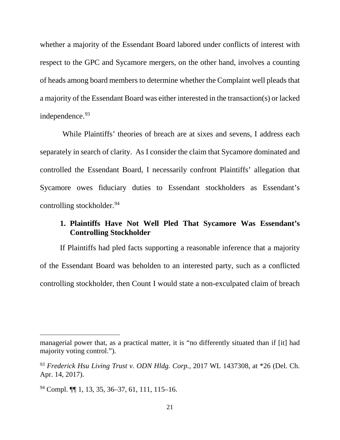whether a majority of the Essendant Board labored under conflicts of interest with respect to the GPC and Sycamore mergers, on the other hand, involves a counting of heads among board members to determine whether the Complaint well pleads that a majority of the Essendant Board was either interested in the transaction(s) or lacked independence. [93](#page-21-0)

While Plaintiffs' theories of breach are at sixes and sevens, I address each separately in search of clarity. As I consider the claim that Sycamore dominated and controlled the Essendant Board, I necessarily confront Plaintiffs' allegation that Sycamore owes fiduciary duties to Essendant stockholders as Essendant's controlling stockholder.<sup>[94](#page-21-1)</sup>

# **1. Plaintiffs Have Not Well Pled That Sycamore Was Essendant's Controlling Stockholder**

If Plaintiffs had pled facts supporting a reasonable inference that a majority of the Essendant Board was beholden to an interested party, such as a conflicted controlling stockholder, then Count I would state a non-exculpated claim of breach

 $\overline{a}$ 

managerial power that, as a practical matter, it is "no differently situated than if [it] had majority voting control.").

<span id="page-21-0"></span><sup>93</sup> *Frederick Hsu Living Trust v. ODN Hldg. Corp.*, 2017 WL 1437308, at \*26 (Del. Ch. Apr. 14, 2017).

<span id="page-21-1"></span><sup>94</sup> Compl. ¶¶ 1, 13, 35, 36–37, 61, 111, 115–16.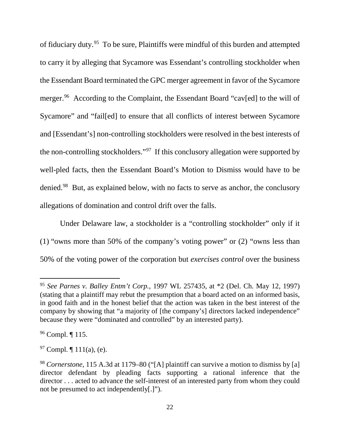of fiduciary duty.<sup>[95](#page-22-0)</sup> To be sure, Plaintiffs were mindful of this burden and attempted to carry it by alleging that Sycamore was Essendant's controlling stockholder when the Essendant Board terminated the GPC merger agreement in favor of the Sycamore merger.<sup>96</sup> According to the Complaint, the Essendant Board "cav[ed] to the will of Sycamore" and "fail[ed] to ensure that all conflicts of interest between Sycamore and [Essendant's] non-controlling stockholders were resolved in the best interests of the non-controlling stockholders.["97](#page-22-2) If this conclusory allegation were supported by well-pled facts, then the Essendant Board's Motion to Dismiss would have to be denied.[98](#page-22-3) But, as explained below, with no facts to serve as anchor, the conclusory allegations of domination and control drift over the falls.

Under Delaware law, a stockholder is a "controlling stockholder" only if it (1) "owns more than 50% of the company's voting power" or (2) "owns less than 50% of the voting power of the corporation but *exercises control* over the business

<span id="page-22-0"></span> <sup>95</sup> *See Parnes v. Balley Entm't Corp.*, 1997 WL 257435, at \*2 (Del. Ch. May 12, 1997) (stating that a plaintiff may rebut the presumption that a board acted on an informed basis, in good faith and in the honest belief that the action was taken in the best interest of the company by showing that "a majority of [the company's] directors lacked independence" because they were "dominated and controlled" by an interested party).

<span id="page-22-1"></span><sup>96</sup> Compl. ¶ 115.

<span id="page-22-2"></span><sup>&</sup>lt;sup>97</sup> Compl.  $\P$  111(a), (e).

<span id="page-22-3"></span><sup>98</sup> *Cornerstone*, 115 A.3d at 1179–80 ("[A] plaintiff can survive a motion to dismiss by [a] director defendant by pleading facts supporting a rational inference that the director . . . acted to advance the self-interest of an interested party from whom they could not be presumed to act independently[.]").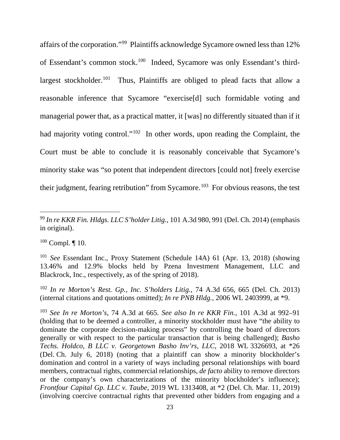affairs of the corporation."[99](#page-23-0) Plaintiffs acknowledge Sycamore owned less than 12% of Essendant's common stock.[100](#page-23-1) Indeed, Sycamore was only Essendant's thirdlargest stockholder.<sup>101</sup> Thus, Plaintiffs are obliged to plead facts that allow a reasonable inference that Sycamore "exercise[d] such formidable voting and managerial power that, as a practical matter, it [was] no differently situated than if it had majority voting control."<sup>[102](#page-23-3)</sup> In other words, upon reading the Complaint, the Court must be able to conclude it is reasonably conceivable that Sycamore's minority stake was "so potent that independent directors [could not] freely exercise their judgment, fearing retribution" from Sycamore.<sup>103</sup> For obvious reasons, the test

<span id="page-23-1"></span> $100$  Compl.  $\P$  10.

<span id="page-23-3"></span><sup>102</sup> *In re Morton's Rest. Gp., Inc. S'holders Litig.*, 74 A.3d 656, 665 (Del. Ch. 2013) (internal citations and quotations omitted); *In re PNB Hldg.*, 2006 WL 2403999, at \*9.

<span id="page-23-4"></span><sup>103</sup> *See In re Morton's*, 74 A.3d at 665. *See also In re KKR Fin.*, 101 A.3d at 992–91 (holding that to be deemed a controller, a minority stockholder must have "the ability to dominate the corporate decision-making process" by controlling the board of directors generally or with respect to the particular transaction that is being challenged); *Basho Techs. Holdco, B LLC v. Georgetown Basho Inv'rs, LLC*, 2018 WL 3326693, at \*26 (Del. Ch. July 6, 2018) (noting that a plaintiff can show a minority blockholder's domination and control in a variety of ways including personal relationships with board members, contractual rights, commercial relationships, *de facto* ability to remove directors or the company's own characterizations of the minority blockholder's influence); *Frontfour Capital Gp. LLC v. Taube*, 2019 WL 1313408, at \*2 (Del. Ch. Mar. 11, 2019) (involving coercive contractual rights that prevented other bidders from engaging and a

<span id="page-23-0"></span> <sup>99</sup> *In re KKR Fin. Hldgs. LLC S'holder Litig.*, 101 A.3d 980, 991 (Del. Ch. 2014) (emphasis in original).

<span id="page-23-2"></span><sup>101</sup> *See* Essendant Inc., Proxy Statement (Schedule 14A) 61 (Apr. 13, 2018) (showing 13.46% and 12.9% blocks held by Pzena Investment Management, LLC and Blackrock, Inc., respectively, as of the spring of 2018).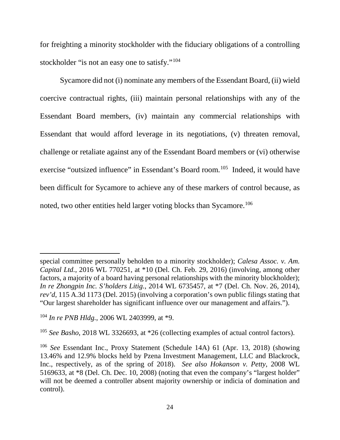for freighting a minority stockholder with the fiduciary obligations of a controlling stockholder "is not an easy one to satisfy."<sup>104</sup>

Sycamore did not (i) nominate any members of the Essendant Board, (ii) wield coercive contractual rights, (iii) maintain personal relationships with any of the Essendant Board members, (iv) maintain any commercial relationships with Essendant that would afford leverage in its negotiations, (v) threaten removal, challenge or retaliate against any of the Essendant Board members or (vi) otherwise exercise "outsized influence" in Essendant's Board room. [105](#page-24-1) Indeed, it would have been difficult for Sycamore to achieve any of these markers of control because, as noted, two other entities held larger voting blocks than Sycamore.<sup>106</sup>

 $\overline{a}$ 

special committee personally beholden to a minority stockholder); *Calesa Assoc. v. Am. Capital Ltd.*, 2016 WL 770251, at \*10 (Del. Ch. Feb. 29, 2016) (involving, among other factors, a majority of a board having personal relationships with the minority blockholder); *In re Zhongpin Inc. S'holders Litig.*, 2014 WL 6735457, at \*7 (Del. Ch. Nov. 26, 2014), *rev'd*, 115 A.3d 1173 (Del. 2015) (involving a corporation's own public filings stating that "Our largest shareholder has significant influence over our management and affairs.").

<span id="page-24-0"></span><sup>104</sup> *In re PNB Hldg.*, 2006 WL 2403999, at \*9.

<span id="page-24-1"></span><sup>105</sup> *See Basho*, 2018 WL 3326693, at \*26 (collecting examples of actual control factors).

<span id="page-24-2"></span><sup>106</sup> *See* Essendant Inc., Proxy Statement (Schedule 14A) 61 (Apr. 13, 2018) (showing 13.46% and 12.9% blocks held by Pzena Investment Management, LLC and Blackrock, Inc., respectively, as of the spring of 2018). *See also Hokanson v. Petty*, 2008 WL 5169633, at \*8 (Del. Ch. Dec. 10, 2008) (noting that even the company's "largest holder" will not be deemed a controller absent majority ownership or indicia of domination and control).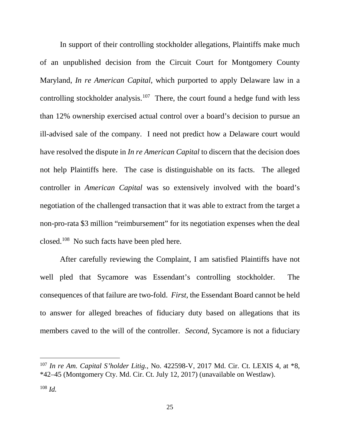In support of their controlling stockholder allegations, Plaintiffs make much of an unpublished decision from the Circuit Court for Montgomery County Maryland, *In re American Capital*, which purported to apply Delaware law in a controlling stockholder analysis.<sup>[107](#page-25-0)</sup> There, the court found a hedge fund with less than 12% ownership exercised actual control over a board's decision to pursue an ill-advised sale of the company. I need not predict how a Delaware court would have resolved the dispute in *In re American Capital* to discern that the decision does not help Plaintiffs here. The case is distinguishable on its facts. The alleged controller in *American Capital* was so extensively involved with the board's negotiation of the challenged transaction that it was able to extract from the target a non-pro-rata \$3 million "reimbursement" for its negotiation expenses when the deal closed.[108](#page-25-1) No such facts have been pled here.

After carefully reviewing the Complaint, I am satisfied Plaintiffs have not well pled that Sycamore was Essendant's controlling stockholder. The consequences of that failure are two-fold. *First*, the Essendant Board cannot be held to answer for alleged breaches of fiduciary duty based on allegations that its members caved to the will of the controller. *Second*, Sycamore is not a fiduciary

<span id="page-25-0"></span> <sup>107</sup> *In re Am. Capital S'holder Litig.*, No. 422598-V, 2017 Md. Cir. Ct. LEXIS 4, at \*8, \*42–45 (Montgomery Cty. Md. Cir. Ct. July 12, 2017) (unavailable on Westlaw).

<span id="page-25-1"></span> $108$  *Id.*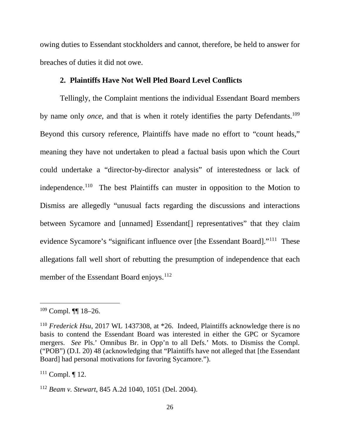owing duties to Essendant stockholders and cannot, therefore, be held to answer for breaches of duties it did not owe.

### **2. Plaintiffs Have Not Well Pled Board Level Conflicts**

Tellingly, the Complaint mentions the individual Essendant Board members by name only *once*, and that is when it rotely identifies the party Defendants.<sup>109</sup> Beyond this cursory reference, Plaintiffs have made no effort to "count heads," meaning they have not undertaken to plead a factual basis upon which the Court could undertake a "director-by-director analysis" of interestedness or lack of independence.<sup>[110](#page-26-1)</sup> The best Plaintiffs can muster in opposition to the Motion to Dismiss are allegedly "unusual facts regarding the discussions and interactions between Sycamore and [unnamed] Essendant<sup>[]</sup> representatives" that they claim evidence Sycamore's "significant influence over [the Essendant Board]."[111](#page-26-2) These allegations fall well short of rebutting the presumption of independence that each member of the Essendant Board enjoys.<sup>[112](#page-26-3)</sup>

<span id="page-26-0"></span> <sup>109</sup> Compl. ¶¶ 18–26.

<span id="page-26-1"></span><sup>&</sup>lt;sup>110</sup> *Frederick Hsu*, 2017 WL 1437308, at \*26. Indeed, Plaintiffs acknowledge there is no basis to contend the Essendant Board was interested in either the GPC or Sycamore mergers. *See* Pls.' Omnibus Br. in Opp'n to all Defs.' Mots. to Dismiss the Compl. ("POB") (D.I. 20) 48 (acknowledging that "Plaintiffs have not alleged that [the Essendant Board] had personal motivations for favoring Sycamore.").

<span id="page-26-2"></span><sup>&</sup>lt;sup>111</sup> Compl. ¶ 12.

<span id="page-26-3"></span><sup>112</sup> *Beam v. Stewart*, 845 A.2d 1040, 1051 (Del. 2004).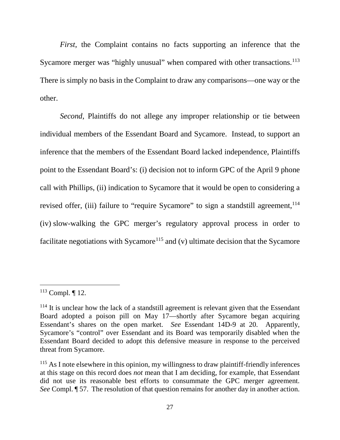*First*, the Complaint contains no facts supporting an inference that the Sycamore merger was "highly unusual" when compared with other transactions.<sup>[113](#page-27-0)</sup> There is simply no basis in the Complaint to draw any comparisons—one way or the other.

*Second*, Plaintiffs do not allege any improper relationship or tie between individual members of the Essendant Board and Sycamore. Instead, to support an inference that the members of the Essendant Board lacked independence, Plaintiffs point to the Essendant Board's: (i) decision not to inform GPC of the April 9 phone call with Phillips, (ii) indication to Sycamore that it would be open to considering a revised offer, (iii) failure to "require Sycamore" to sign a standstill agreement,  $114$ (iv) slow-walking the GPC merger's regulatory approval process in order to facilitate negotiations with Sycamore<sup>[115](#page-27-2)</sup> and (v) ultimate decision that the Sycamore

<span id="page-27-0"></span> <sup>113</sup> Compl. ¶ 12.

<span id="page-27-1"></span> $114$  It is unclear how the lack of a standstill agreement is relevant given that the Essendant Board adopted a poison pill on May 17—shortly after Sycamore began acquiring Essendant's shares on the open market. *See* Essendant 14D-9 at 20. Apparently, Sycamore's "control" over Essendant and its Board was temporarily disabled when the Essendant Board decided to adopt this defensive measure in response to the perceived threat from Sycamore.

<span id="page-27-2"></span><sup>&</sup>lt;sup>115</sup> As I note elsewhere in this opinion, my willingness to draw plaintiff-friendly inferences at this stage on this record does *not* mean that I am deciding, for example, that Essendant did not use its reasonable best efforts to consummate the GPC merger agreement. *See* Compl. ¶ 57. The resolution of that question remains for another day in another action.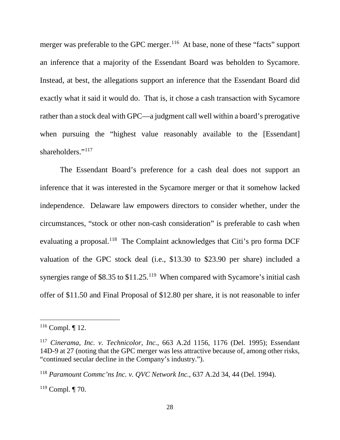merger was preferable to the GPC merger.<sup>116</sup> At base, none of these "facts" support an inference that a majority of the Essendant Board was beholden to Sycamore. Instead, at best, the allegations support an inference that the Essendant Board did exactly what it said it would do. That is, it chose a cash transaction with Sycamore rather than a stock deal with GPC—a judgment call well within a board's prerogative when pursuing the "highest value reasonably available to the [Essendant] shareholders."<sup>117</sup>

The Essendant Board's preference for a cash deal does not support an inference that it was interested in the Sycamore merger or that it somehow lacked independence. Delaware law empowers directors to consider whether, under the circumstances, "stock or other non-cash consideration" is preferable to cash when evaluating a proposal.<sup>118</sup> The Complaint acknowledges that Citi's pro forma DCF valuation of the GPC stock deal (i.e., \$13.30 to \$23.90 per share) included a synergies range of \$8.35 to \$11.25.<sup>119</sup> When compared with Sycamore's initial cash offer of \$11.50 and Final Proposal of \$12.80 per share, it is not reasonable to infer

<span id="page-28-0"></span> $116$  Compl. | 12.

<span id="page-28-1"></span><sup>117</sup> *Cinerama, Inc. v. Technicolor, Inc.*, 663 A.2d 1156, 1176 (Del. 1995); Essendant 14D-9 at 27 (noting that the GPC merger was less attractive because of, among other risks, "continued secular decline in the Company's industry.").

<span id="page-28-2"></span><sup>118</sup> *Paramount Commc'ns Inc. v. QVC Network Inc.*, 637 A.2d 34, 44 (Del. 1994).

<span id="page-28-3"></span><sup>119</sup> Compl. ¶ 70.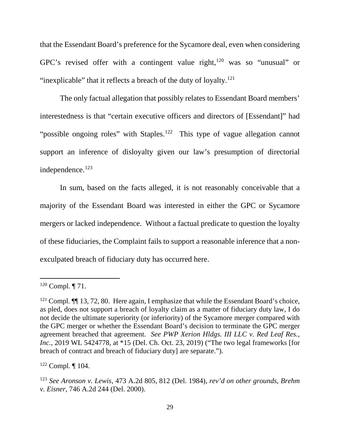that the Essendant Board's preference for the Sycamore deal, even when considering GPC's revised offer with a contingent value right, $120$  was so "unusual" or "inexplicable" that it reflects a breach of the duty of loyalty. $121$ 

The only factual allegation that possibly relates to Essendant Board members' interestedness is that "certain executive officers and directors of [Essendant]" had "possible ongoing roles" with Staples.<sup>122</sup> This type of vague allegation cannot support an inference of disloyalty given our law's presumption of directorial independence. [123](#page-29-3) 

In sum, based on the facts alleged, it is not reasonably conceivable that a majority of the Essendant Board was interested in either the GPC or Sycamore mergers or lacked independence. Without a factual predicate to question the loyalty of these fiduciaries, the Complaint fails to support a reasonable inference that a nonexculpated breach of fiduciary duty has occurred here.

<span id="page-29-0"></span> $120$  Compl.  $\P$  71.

<span id="page-29-1"></span> $121$  Compl.  $\P$  13, 72, 80. Here again, I emphasize that while the Essendant Board's choice, as pled, does not support a breach of loyalty claim as a matter of fiduciary duty law, I do not decide the ultimate superiority (or inferiority) of the Sycamore merger compared with the GPC merger or whether the Essendant Board's decision to terminate the GPC merger agreement breached that agreement. *See PWP Xerion Hldgs. III LLC v. Red Leaf Res., Inc.*, 2019 WL 5424778, at \*15 (Del. Ch. Oct. 23, 2019) ("The two legal frameworks [for breach of contract and breach of fiduciary duty] are separate.").

<span id="page-29-2"></span><sup>122</sup> Compl. ¶ 104.

<span id="page-29-3"></span><sup>123</sup> *See Aronson v. Lewis*, 473 A.2d 805, 812 (Del. 1984), *rev'd on other grounds, Brehm v. Eisner*, 746 A.2d 244 (Del. 2000).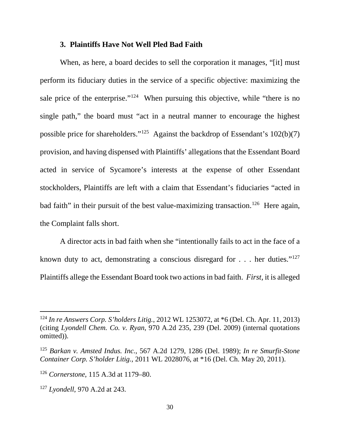### **3. Plaintiffs Have Not Well Pled Bad Faith**

When, as here, a board decides to sell the corporation it manages, "[it] must perform its fiduciary duties in the service of a specific objective: maximizing the sale price of the enterprise."<sup>[124](#page-30-0)</sup> When pursuing this objective, while "there is no single path," the board must "act in a neutral manner to encourage the highest possible price for shareholders."<sup>[125](#page-30-1)</sup> Against the backdrop of Essendant's  $102(b)(7)$ provision, and having dispensed with Plaintiffs' allegations that the Essendant Board acted in service of Sycamore's interests at the expense of other Essendant stockholders, Plaintiffs are left with a claim that Essendant's fiduciaries "acted in bad faith" in their pursuit of the best value-maximizing transaction.<sup>[126](#page-30-2)</sup> Here again, the Complaint falls short.

A director acts in bad faith when she "intentionally fails to act in the face of a known duty to act, demonstrating a conscious disregard for . . . her duties."[127](#page-30-3) Plaintiffs allege the Essendant Board took two actions in bad faith. *First,* it is alleged

<span id="page-30-0"></span> <sup>124</sup> *In re Answers Corp. S'holders Litig.*, 2012 WL 1253072, at \*6 (Del. Ch. Apr. 11, 2013) (citing *Lyondell Chem. Co. v. Ryan*, 970 A.2d 235, 239 (Del. 2009) (internal quotations omitted)).

<span id="page-30-1"></span><sup>125</sup> *Barkan v. Amsted Indus. Inc.*, 567 A.2d 1279, 1286 (Del. 1989); *In re Smurfit-Stone Container Corp. S'holder Litig.*, 2011 WL 2028076, at \*16 (Del. Ch. May 20, 2011).

<span id="page-30-2"></span><sup>126</sup> *Cornerstone*, 115 A.3d at 1179–80.

<span id="page-30-3"></span><sup>127</sup> *Lyondell*, 970 A.2d at 243.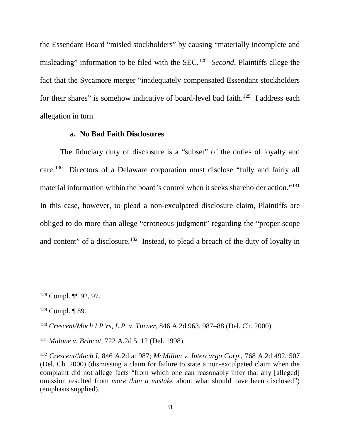the Essendant Board "misled stockholders" by causing "materially incomplete and misleading" information to be filed with the SEC.[128](#page-31-0) *Second*, Plaintiffs allege the fact that the Sycamore merger "inadequately compensated Essendant stockholders for their shares" is somehow indicative of board-level bad faith.<sup>[129](#page-31-1)</sup> I address each allegation in turn.

#### **a. No Bad Faith Disclosures**

The fiduciary duty of disclosure is a "subset" of the duties of loyalty and care.[130](#page-31-2) Directors of a Delaware corporation must disclose "fully and fairly all material information within the board's control when it seeks shareholder action.["131](#page-31-3) In this case, however, to plead a non-exculpated disclosure claim, Plaintiffs are obliged to do more than allege "erroneous judgment" regarding the "proper scope and content" of a disclosure.<sup>132</sup> Instead, to plead a breach of the duty of loyalty in

<span id="page-31-0"></span> <sup>128</sup> Compl. ¶¶ 92, 97.

<span id="page-31-1"></span><sup>129</sup> Compl. ¶ 89.

<span id="page-31-2"></span><sup>130</sup> *Crescent/Mach I P'rs, L.P. v. Turner*, 846 A.2d 963, 987–88 (Del. Ch. 2000).

<span id="page-31-3"></span><sup>131</sup> *Malone v. Brincat*, 722 A.2d 5, 12 (Del. 1998).

<span id="page-31-4"></span><sup>132</sup> *Crescent/Mach I*, 846 A.2d at 987; *McMillan v. Intercargo Corp*., 768 A.2d 492, 507 (Del. Ch. 2000) (dismissing a claim for failure to state a non-exculpated claim when the complaint did not allege facts "from which one can reasonably infer that any [alleged] omission resulted from *more than a mistake* about what should have been disclosed") (emphasis supplied).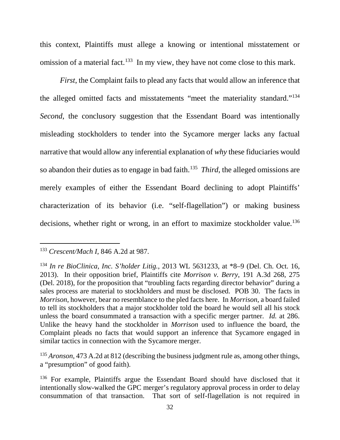this context, Plaintiffs must allege a knowing or intentional misstatement or omission of a material fact.<sup>[133](#page-32-0)</sup> In my view, they have not come close to this mark.

*First*, the Complaint fails to plead any facts that would allow an inference that the alleged omitted facts and misstatements "meet the materiality standard.["134](#page-32-1) *Second*, the conclusory suggestion that the Essendant Board was intentionally misleading stockholders to tender into the Sycamore merger lacks any factual narrative that would allow any inferential explanation of *why* these fiduciaries would so abandon their duties as to engage in bad faith. [135](#page-32-2) *Third*, the alleged omissions are merely examples of either the Essendant Board declining to adopt Plaintiffs' characterization of its behavior (i.e. "self-flagellation") or making business decisions, whether right or wrong, in an effort to maximize stockholder value.<sup>136</sup>

<span id="page-32-2"></span><sup>135</sup> *Aronson*, 473 A.2d at 812 (describing the business judgment rule as, among other things, a "presumption" of good faith).

<span id="page-32-0"></span> <sup>133</sup> *Crescent/Mach I*, 846 A.2d at 987.

<span id="page-32-1"></span><sup>134</sup> *In re BioClinica, Inc. S'holder Litig.*, 2013 WL 5631233, at \*8–9 (Del. Ch. Oct. 16, 2013). In their opposition brief, Plaintiffs cite *Morrison v. Berry*, 191 A.3d 268, 275 (Del. 2018), for the proposition that "troubling facts regarding director behavior" during a sales process are material to stockholders and must be disclosed. POB 30. The facts in *Morrison*, however, bear no resemblance to the pled facts here. In *Morrison*, a board failed to tell its stockholders that a major stockholder told the board he would sell all his stock unless the board consummated a transaction with a specific merger partner. *Id.* at 286. Unlike the heavy hand the stockholder in *Morrison* used to influence the board, the Complaint pleads no facts that would support an inference that Sycamore engaged in similar tactics in connection with the Sycamore merger.

<span id="page-32-3"></span><sup>&</sup>lt;sup>136</sup> For example, Plaintiffs argue the Essendant Board should have disclosed that it intentionally slow-walked the GPC merger's regulatory approval process in order to delay consummation of that transaction. That sort of self-flagellation is not required in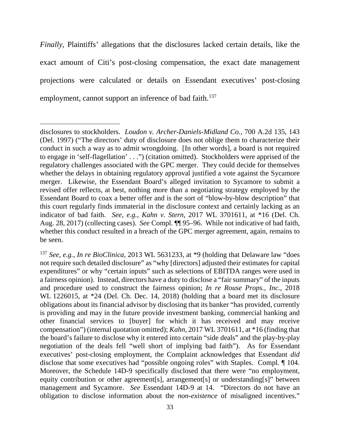*Finally*, Plaintiffs' allegations that the disclosures lacked certain details, like the exact amount of Citi's post-closing compensation, the exact date management projections were calculated or details on Essendant executives' post-closing employment, cannot support an inference of bad faith.<sup>[137](#page-33-0)</sup>

 $\overline{a}$ 

disclosures to stockholders. *Loudon v. Archer-Daniels-Midland Co.*, 700 A.2d 135, 143 (Del. 1997) ("The directors' duty of disclosure does not oblige them to characterize their conduct in such a way as to admit wrongdoing. [In other words], a board is not required to engage in 'self-flagellation' . . .") (citation omitted). Stockholders were apprised of the regulatory challenges associated with the GPC merger. They could decide for themselves whether the delays in obtaining regulatory approval justified a vote against the Sycamore merger. Likewise, the Essendant Board's alleged invitation to Sycamore to submit a revised offer reflects, at best, nothing more than a negotiating strategy employed by the Essendant Board to coax a better offer and is the sort of "blow-by-blow description" that this court regularly finds immaterial in the disclosure context and certainly lacking as an indicator of bad faith. *See, e.g.*, *Kahn v. Stern*, 2017 WL 3701611, at \*16 (Del. Ch. Aug. 28, 2017) (collecting cases). *See* Compl. ¶¶ 95–96. While not indicative of bad faith, whether this conduct resulted in a breach of the GPC merger agreement, again, remains to be seen.

<span id="page-33-0"></span><sup>137</sup> *See, e.g.*, *In re BioClinica*, 2013 WL 5631233, at \*9 (holding that Delaware law "does not require such detailed disclosure" as "why [directors] adjusted their estimates for capital expenditures" or why "certain inputs" such as selections of EBITDA ranges were used in a fairness opinion). Instead, directors have a duty to disclose a "fair summary" of the inputs and procedure used to construct the fairness opinion; *In re Rouse Props., Inc.*, 2018 WL 1226015, at \*24 (Del. Ch. Dec. 14, 2018) (holding that a board met its disclosure obligations about its financial advisor by disclosing that its banker "has provided, currently is providing and may in the future provide investment banking, commercial banking and other financial services to [buyer] for which it has received and may receive compensation") (internal quotation omitted); *Kahn*, 2017 WL 3701611, at \*16 (finding that the board's failure to disclose why it entered into certain "side deals" and the play-by-play negotiation of the deals fell "well short of implying bad faith"). As for Essendant executives' post-closing employment, the Complaint acknowledges that Essendant *did*  disclose that some executives had "possible ongoing roles" with Staples. Compl. ¶ 104. Moreover, the Schedule 14D-9 specifically disclosed that there were "no employment, equity contribution or other agreement[s], arrangement[s] or understanding[s]" between management and Sycamore. *See* Essendant 14D-9 at 14. "Directors do not have an obligation to disclose information about the *non-existence* of misaligned incentives."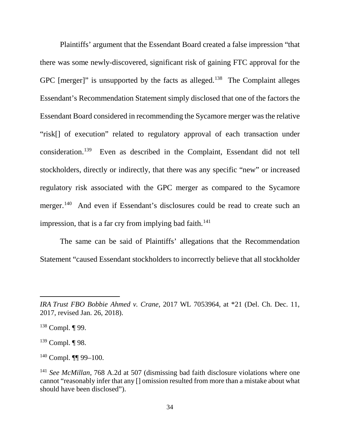Plaintiffs' argument that the Essendant Board created a false impression "that there was some newly-discovered, significant risk of gaining FTC approval for the GPC [merger]" is unsupported by the facts as alleged.<sup>[138](#page-34-0)</sup> The Complaint alleges Essendant's Recommendation Statement simply disclosed that one of the factors the Essendant Board considered in recommending the Sycamore merger was the relative "risk[] of execution" related to regulatory approval of each transaction under consideration. [139](#page-34-1) Even as described in the Complaint, Essendant did not tell stockholders, directly or indirectly, that there was any specific "new" or increased regulatory risk associated with the GPC merger as compared to the Sycamore merger.<sup>[140](#page-34-2)</sup> And even if Essendant's disclosures could be read to create such an impression, that is a far cry from implying bad faith.<sup>[141](#page-34-3)</sup>

The same can be said of Plaintiffs' allegations that the Recommendation Statement "caused Essendant stockholders to incorrectly believe that all stockholder

 $\overline{a}$ 

<span id="page-34-1"></span> $139$  Compl. ¶ 98.

<span id="page-34-2"></span> $140$  Compl.  $\P\P$  99-100.

*IRA Trust FBO Bobbie Ahmed v. Crane*, 2017 WL 7053964, at \*21 (Del. Ch. Dec. 11, 2017, revised Jan. 26, 2018).

<span id="page-34-0"></span><sup>138</sup> Compl. ¶ 99.

<span id="page-34-3"></span><sup>141</sup> *See McMillan*, 768 A.2d at 507 (dismissing bad faith disclosure violations where one cannot "reasonably infer that any [] omission resulted from more than a mistake about what should have been disclosed").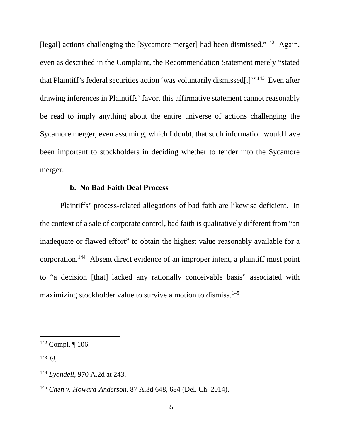[legal] actions challenging the [Sycamore merger] had been dismissed."<sup>[142](#page-35-0)</sup> Again, even as described in the Complaint, the Recommendation Statement merely "stated that Plaintiff's federal securities action 'was voluntarily dismissed[.]'"[143](#page-35-1) Even after drawing inferences in Plaintiffs' favor, this affirmative statement cannot reasonably be read to imply anything about the entire universe of actions challenging the Sycamore merger, even assuming, which I doubt, that such information would have been important to stockholders in deciding whether to tender into the Sycamore merger.

#### **b. No Bad Faith Deal Process**

Plaintiffs' process-related allegations of bad faith are likewise deficient. In the context of a sale of corporate control, bad faith is qualitatively different from "an inadequate or flawed effort" to obtain the highest value reasonably available for a corporation.[144](#page-35-2) Absent direct evidence of an improper intent, a plaintiff must point to "a decision [that] lacked any rationally conceivable basis" associated with maximizing stockholder value to survive a motion to dismiss. [145](#page-35-3)

<span id="page-35-0"></span> $142$  Compl. ¶ 106.

<span id="page-35-1"></span> $^{143}$  *Id.* 

<span id="page-35-2"></span><sup>144</sup> *Lyondell*, 970 A.2d at 243.

<span id="page-35-3"></span><sup>145</sup> *Chen v. Howard-Anderson*, 87 A.3d 648, 684 (Del. Ch. 2014).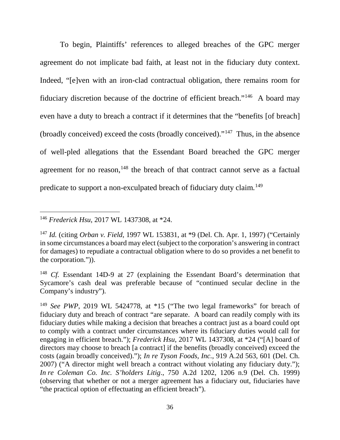To begin, Plaintiffs' references to alleged breaches of the GPC merger agreement do not implicate bad faith, at least not in the fiduciary duty context. Indeed, "[e]ven with an iron-clad contractual obligation, there remains room for fiduciary discretion because of the doctrine of efficient breach."[146](#page-36-0) A board may even have a duty to breach a contract if it determines that the "benefits [of breach] (broadly conceived) exceed the costs (broadly conceived)."[147](#page-36-1) Thus, in the absence of well-pled allegations that the Essendant Board breached the GPC merger agreement for no reason,  $148$  the breach of that contract cannot serve as a factual predicate to support a non-exculpated breach of fiduciary duty claim.[149](#page-36-3)

<span id="page-36-0"></span> <sup>146</sup> *Frederick Hsu*, 2017 WL 1437308, at \*24.

<span id="page-36-1"></span><sup>147</sup> *Id.* (citing *Orban v. Field*, 1997 WL 153831, at \*9 (Del. Ch. Apr. 1, 1997) ("Certainly in some circumstances a board may elect (subject to the corporation's answering in contract for damages) to repudiate a contractual obligation where to do so provides a net benefit to the corporation.")).

<span id="page-36-2"></span><sup>&</sup>lt;sup>148</sup> *Cf.* Essendant 14D-9 at 27 (explaining the Essendant Board's determination that Sycamore's cash deal was preferable because of "continued secular decline in the Company's industry").

<span id="page-36-3"></span><sup>149</sup> *See PWP*, 2019 WL 5424778, at \*15 ("The two legal frameworks" for breach of fiduciary duty and breach of contract "are separate. A board can readily comply with its fiduciary duties while making a decision that breaches a contract just as a board could opt to comply with a contract under circumstances where its fiduciary duties would call for engaging in efficient breach."); *Frederick Hsu*, 2017 WL 1437308, at \*24 ("[A] board of directors may choose to breach [a contract] if the benefits (broadly conceived) exceed the costs (again broadly conceived)."); *In re Tyson Foods, Inc.*, 919 A.2d 563, 601 (Del. Ch. 2007) ("A director might well breach a contract without violating any fiduciary duty."); *In re Coleman Co. Inc. S'holders Litig*., 750 A.2d 1202, 1206 n.9 (Del. Ch. 1999) (observing that whether or not a merger agreement has a fiduciary out, fiduciaries have "the practical option of effectuating an efficient breach").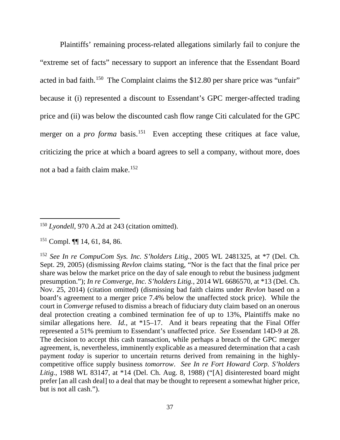Plaintiffs' remaining process-related allegations similarly fail to conjure the "extreme set of facts" necessary to support an inference that the Essendant Board acted in bad faith.<sup>[150](#page-37-0)</sup> The Complaint claims the \$12.80 per share price was "unfair" because it (i) represented a discount to Essendant's GPC merger-affected trading price and (ii) was below the discounted cash flow range Citi calculated for the GPC merger on a *pro forma* basis.<sup>[151](#page-37-1)</sup> Even accepting these critiques at face value, criticizing the price at which a board agrees to sell a company, without more, does not a bad a faith claim make.[152](#page-37-2)

<span id="page-37-0"></span><sup>&</sup>lt;sup>150</sup> *Lyondell*, 970 A.2d at 243 (citation omitted).

<span id="page-37-1"></span><sup>151</sup> Compl. ¶¶ 14, 61, 84, 86.

<span id="page-37-2"></span><sup>152</sup> *See In re CompuCom Sys. Inc. S'holders Litig.*, 2005 WL 2481325, at \*7 (Del. Ch. Sept. 29, 2005) (dismissing *Revlon* claims stating, "Nor is the fact that the final price per share was below the market price on the day of sale enough to rebut the business judgment presumption."); *In re Comverge, Inc. S'holders Litig.*, 2014 WL 6686570, at \*13 (Del. Ch. Nov. 25, 2014) (citation omitted) (dismissing bad faith claims under *Revlon* based on a board's agreement to a merger price 7.4% below the unaffected stock price). While the court in *Comverge* refused to dismiss a breach of fiduciary duty claim based on an onerous deal protection creating a combined termination fee of up to 13%, Plaintiffs make no similar allegations here. *Id.*, at \*15–17. And it bears repeating that the Final Offer represented a 51% premium to Essendant's unaffected price. *See* Essendant 14D-9 at 28. The decision to accept this cash transaction, while perhaps a breach of the GPC merger agreement, is, nevertheless, imminently explicable as a measured determination that a cash payment *today* is superior to uncertain returns derived from remaining in the highlycompetitive office supply business *tomorrow*. *See In re Fort Howard Corp. S'holders Litig.*, 1988 WL 83147, at \*14 (Del. Ch. Aug. 8, 1988) ("[A] disinterested board might prefer [an all cash deal] to a deal that may be thought to represent a somewhat higher price, but is not all cash.").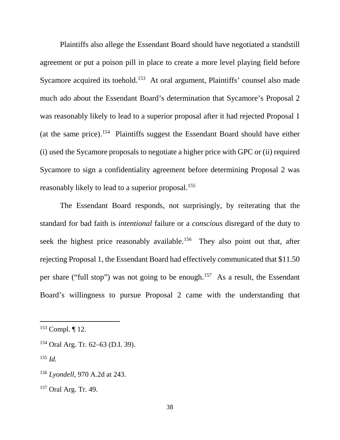Plaintiffs also allege the Essendant Board should have negotiated a standstill agreement or put a poison pill in place to create a more level playing field before Sycamore acquired its toehold.<sup>[153](#page-38-0)</sup> At oral argument, Plaintiffs' counsel also made much ado about the Essendant Board's determination that Sycamore's Proposal 2 was reasonably likely to lead to a superior proposal after it had rejected Proposal 1 (at the same price).[154](#page-38-1) Plaintiffs suggest the Essendant Board should have either (i) used the Sycamore proposals to negotiate a higher price with GPC or (ii) required Sycamore to sign a confidentiality agreement before determining Proposal 2 was reasonably likely to lead to a superior proposal.<sup>155</sup>

The Essendant Board responds, not surprisingly, by reiterating that the standard for bad faith is *intentional* failure or a *conscious* disregard of the duty to seek the highest price reasonably available.<sup>[156](#page-38-3)</sup> They also point out that, after rejecting Proposal 1, the Essendant Board had effectively communicated that \$11.50 per share ("full stop") was not going to be enough.[157](#page-38-4) As a result, the Essendant Board's willingness to pursue Proposal 2 came with the understanding that

<span id="page-38-2"></span> $^{155}$  *Id.* 

<span id="page-38-0"></span> <sup>153</sup> Compl. ¶ 12.

<span id="page-38-1"></span><sup>154</sup> Oral Arg. Tr. 62–63 (D.I. 39).

<span id="page-38-3"></span><sup>156</sup> *Lyondell*, 970 A.2d at 243.

<span id="page-38-4"></span><sup>157</sup> Oral Arg. Tr. 49.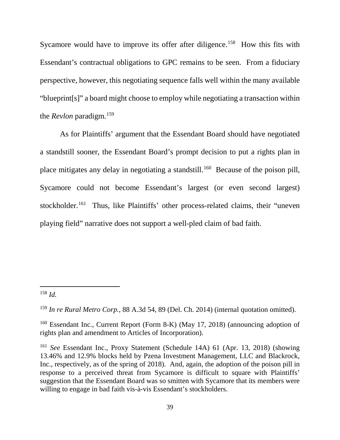Sycamore would have to improve its offer after diligence.<sup>158</sup> How this fits with Essendant's contractual obligations to GPC remains to be seen. From a fiduciary perspective, however, this negotiating sequence falls well within the many available "blueprint[s]" a board might choose to employ while negotiating a transaction within the *Revlon* paradigm. [159](#page-39-1)

As for Plaintiffs' argument that the Essendant Board should have negotiated a standstill sooner, the Essendant Board's prompt decision to put a rights plan in place mitigates any delay in negotiating a standstill.<sup>160</sup> Because of the poison pill, Sycamore could not become Essendant's largest (or even second largest) stockholder.<sup>[161](#page-39-3)</sup> Thus, like Plaintiffs' other process-related claims, their "uneven" playing field" narrative does not support a well-pled claim of bad faith.

<span id="page-39-0"></span> $158$  *Id.* 

<span id="page-39-1"></span><sup>159</sup> *In re Rural Metro Corp.*, 88 A.3d 54, 89 (Del. Ch. 2014) (internal quotation omitted).

<span id="page-39-2"></span><sup>160</sup> Essendant Inc., Current Report (Form 8-K) (May 17, 2018) (announcing adoption of rights plan and amendment to Articles of Incorporation).

<span id="page-39-3"></span><sup>161</sup> *See* Essendant Inc., Proxy Statement (Schedule 14A) 61 (Apr. 13, 2018) (showing 13.46% and 12.9% blocks held by Pzena Investment Management, LLC and Blackrock, Inc., respectively, as of the spring of 2018). And, again, the adoption of the poison pill in response to a perceived threat from Sycamore is difficult to square with Plaintiffs' suggestion that the Essendant Board was so smitten with Sycamore that its members were willing to engage in bad faith vis-à-vis Essendant's stockholders.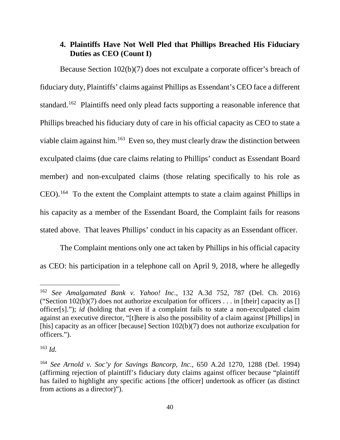# **4. Plaintiffs Have Not Well Pled that Phillips Breached His Fiduciary Duties as CEO (Count I)**

Because Section 102(b)(7) does not exculpate a corporate officer's breach of fiduciary duty, Plaintiffs' claims against Phillips as Essendant's CEO face a different standard.<sup>[162](#page-40-0)</sup> Plaintiffs need only plead facts supporting a reasonable inference that Phillips breached his fiduciary duty of care in his official capacity as CEO to state a viable claim against him.<sup>[163](#page-40-1)</sup> Even so, they must clearly draw the distinction between exculpated claims (due care claims relating to Phillips' conduct as Essendant Board member) and non-exculpated claims (those relating specifically to his role as CEO).[164](#page-40-2) To the extent the Complaint attempts to state a claim against Phillips in his capacity as a member of the Essendant Board, the Complaint fails for reasons stated above. That leaves Phillips' conduct in his capacity as an Essendant officer.

The Complaint mentions only one act taken by Phillips in his official capacity as CEO: his participation in a telephone call on April 9, 2018, where he allegedly

<span id="page-40-0"></span> <sup>162</sup> *See Amalgamated Bank v. Yahoo! Inc.*, 132 A.3d 752, 787 (Del. Ch. 2016) ("Section  $102(b)(7)$  does not authorize exculpation for officers ... in [their] capacity as [] officer[s]."); *id* (holding that even if a complaint fails to state a non-exculpated claim against an executive director, "[t]here is also the possibility of a claim against [Phillips] in [his] capacity as an officer [because] Section  $102(b)(7)$  does not authorize exculpation for officers.").

<span id="page-40-1"></span> $163$  *Id.* 

<span id="page-40-2"></span><sup>164</sup> *See Arnold v. Soc'y for Savings Bancorp, Inc.*, 650 A.2d 1270, 1288 (Del. 1994) (affirming rejection of plaintiff's fiduciary duty claims against officer because "plaintiff has failed to highlight any specific actions [the officer] undertook as officer (as distinct from actions as a director)").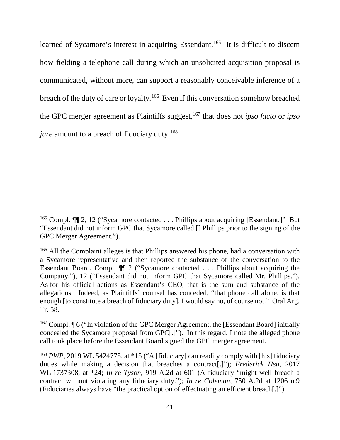learned of Sycamore's interest in acquiring Essendant.<sup>165</sup> It is difficult to discern how fielding a telephone call during which an unsolicited acquisition proposal is communicated, without more, can support a reasonably conceivable inference of a breach of the duty of care or loyalty.[166](#page-41-1) Even if this conversation somehow breached the GPC merger agreement as Plaintiffs suggest, [167](#page-41-2) that does not *ipso facto* or *ipso jure* amount to a breach of fiduciary duty.<sup>[168](#page-41-3)</sup>

<span id="page-41-0"></span><sup>&</sup>lt;sup>165</sup> Compl. **[141]** 2, 12 ("Sycamore contacted . . . Phillips about acquiring [Essendant.]" But "Essendant did not inform GPC that Sycamore called [] Phillips prior to the signing of the GPC Merger Agreement.").

<span id="page-41-1"></span><sup>&</sup>lt;sup>166</sup> All the Complaint alleges is that Phillips answered his phone, had a conversation with a Sycamore representative and then reported the substance of the conversation to the Essendant Board. Compl. ¶¶ 2 ("Sycamore contacted . . . Phillips about acquiring the Company."), 12 ("Essendant did not inform GPC that Sycamore called Mr. Phillips."). As for his official actions as Essendant's CEO, that is the sum and substance of the allegations. Indeed, as Plaintiffs' counsel has conceded, "that phone call alone, is that enough [to constitute a breach of fiduciary duty], I would say no, of course not." Oral Arg. Tr. 58.

<span id="page-41-2"></span><sup>&</sup>lt;sup>167</sup> Compl.  $\P$  6 ("In violation of the GPC Merger Agreement, the [Essendant Board] initially concealed the Sycamore proposal from GPC[.]"). In this regard, I note the alleged phone call took place before the Essendant Board signed the GPC merger agreement.

<span id="page-41-3"></span><sup>&</sup>lt;sup>168</sup> *PWP*, 2019 WL 5424778, at \*15 ("A [fiduciary] can readily comply with [his] fiduciary duties while making a decision that breaches a contract[.]"); *Frederick Hsu*, 2017 WL 1737308, at \*24; *In re Tyson*, 919 A.2d at 601 (A fiduciary "might well breach a contract without violating any fiduciary duty."); *In re Coleman*, 750 A.2d at 1206 n.9 (Fiduciaries always have "the practical option of effectuating an efficient breach[.]").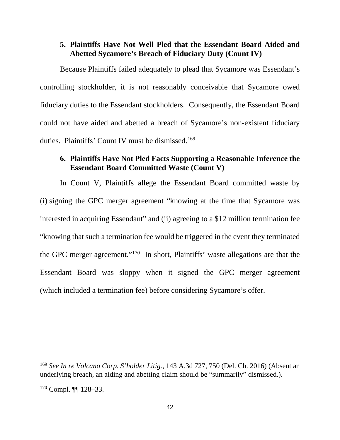# **5. Plaintiffs Have Not Well Pled that the Essendant Board Aided and Abetted Sycamore's Breach of Fiduciary Duty (Count IV)**

Because Plaintiffs failed adequately to plead that Sycamore was Essendant's controlling stockholder, it is not reasonably conceivable that Sycamore owed fiduciary duties to the Essendant stockholders. Consequently, the Essendant Board could not have aided and abetted a breach of Sycamore's non-existent fiduciary duties. Plaintiffs' Count IV must be dismissed.<sup>[169](#page-42-0)</sup>

# **6. Plaintiffs Have Not Pled Facts Supporting a Reasonable Inference the Essendant Board Committed Waste (Count V)**

In Count V, Plaintiffs allege the Essendant Board committed waste by (i) signing the GPC merger agreement "knowing at the time that Sycamore was interested in acquiring Essendant" and (ii) agreeing to a \$12 million termination fee "knowing that such a termination fee would be triggered in the event they terminated the GPC merger agreement."[170](#page-42-1) In short, Plaintiffs' waste allegations are that the Essendant Board was sloppy when it signed the GPC merger agreement (which included a termination fee) before considering Sycamore's offer.

<span id="page-42-0"></span> <sup>169</sup> *See In re Volcano Corp. S'holder Litig.*, 143 A.3d 727, 750 (Del. Ch. 2016) (Absent an underlying breach, an aiding and abetting claim should be "summarily" dismissed.).

<span id="page-42-1"></span> $170$  Compl.  $\P\P$  128–33.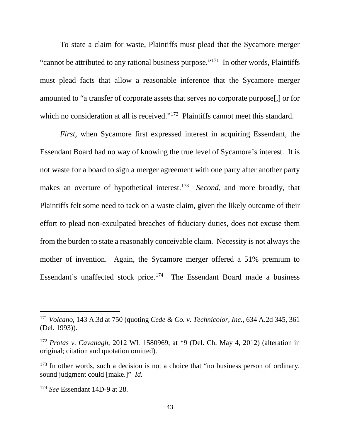To state a claim for waste, Plaintiffs must plead that the Sycamore merger "cannot be attributed to any rational business purpose."[171](#page-43-0) In other words, Plaintiffs must plead facts that allow a reasonable inference that the Sycamore merger amounted to "a transfer of corporate assets that serves no corporate purpose[,] or for which no consideration at all is received."<sup>[172](#page-43-1)</sup> Plaintiffs cannot meet this standard.

*First,* when Sycamore first expressed interest in acquiring Essendant, the Essendant Board had no way of knowing the true level of Sycamore's interest. It is not waste for a board to sign a merger agreement with one party after another party makes an overture of hypothetical interest.<sup>[173](#page-43-2)</sup> *Second*, and more broadly, that Plaintiffs felt some need to tack on a waste claim, given the likely outcome of their effort to plead non-exculpated breaches of fiduciary duties, does not excuse them from the burden to state a reasonably conceivable claim. Necessity is not always the mother of invention. Again, the Sycamore merger offered a 51% premium to Essendant's unaffected stock price. [174](#page-43-3) The Essendant Board made a business

<span id="page-43-0"></span> <sup>171</sup> *Volcano*, 143 A.3d at 750 (quoting *Cede & Co. v. Technicolor, Inc.*, 634 A.2d 345, 361 (Del. 1993)).

<span id="page-43-1"></span><sup>172</sup> *Protas v. Cavanagh*, 2012 WL 1580969, at \*9 (Del. Ch. May 4, 2012) (alteration in original; citation and quotation omitted).

<span id="page-43-2"></span><sup>&</sup>lt;sup>173</sup> In other words, such a decision is not a choice that "no business person of ordinary, sound judgment could [make.]" *Id.* 

<span id="page-43-3"></span><sup>174</sup> *See* Essendant 14D-9 at 28.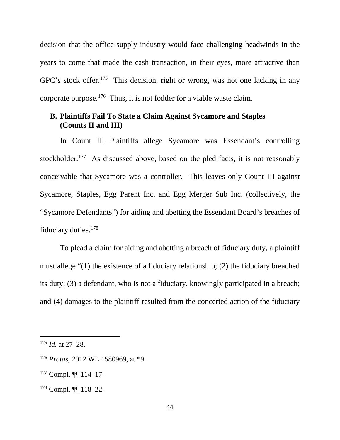decision that the office supply industry would face challenging headwinds in the years to come that made the cash transaction, in their eyes, more attractive than GPC's stock offer.<sup>[175](#page-44-0)</sup> This decision, right or wrong, was not one lacking in any corporate purpose.[176](#page-44-1) Thus, it is not fodder for a viable waste claim.

# **B. Plaintiffs Fail To State a Claim Against Sycamore and Staples (Counts II and III)**

In Count II, Plaintiffs allege Sycamore was Essendant's controlling stockholder.<sup>[177](#page-44-2)</sup> As discussed above, based on the pled facts, it is not reasonably conceivable that Sycamore was a controller. This leaves only Count III against Sycamore, Staples, Egg Parent Inc. and Egg Merger Sub Inc. (collectively, the "Sycamore Defendants") for aiding and abetting the Essendant Board's breaches of fiduciary duties[.178](#page-44-3)

To plead a claim for aiding and abetting a breach of fiduciary duty, a plaintiff must allege "(1) the existence of a fiduciary relationship; (2) the fiduciary breached its duty; (3) a defendant, who is not a fiduciary, knowingly participated in a breach; and (4) damages to the plaintiff resulted from the concerted action of the fiduciary

<span id="page-44-0"></span> <sup>175</sup> *Id.* at 27–28.

<span id="page-44-1"></span><sup>176</sup> *Protas*, 2012 WL 1580969, at \*9.

<span id="page-44-2"></span><sup>177</sup> Compl. ¶¶ 114–17.

<span id="page-44-3"></span><sup>178</sup> Compl. ¶¶ 118–22.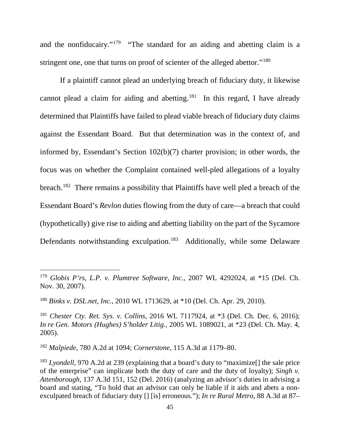and the nonfiducairy."<sup>179</sup> "The standard for an aiding and abetting claim is a stringent one, one that turns on proof of scienter of the alleged abettor."<sup>[180](#page-45-1)</sup>

If a plaintiff cannot plead an underlying breach of fiduciary duty, it likewise cannot plead a claim for aiding and abetting.<sup>181</sup> In this regard, I have already determined that Plaintiffs have failed to plead viable breach of fiduciary duty claims against the Essendant Board. But that determination was in the context of, and informed by, Essendant's Section 102(b)(7) charter provision; in other words, the focus was on whether the Complaint contained well-pled allegations of a loyalty breach.<sup>182</sup> There remains a possibility that Plaintiffs have well pled a breach of the Essendant Board's *Revlon* duties flowing from the duty of care—a breach that could (hypothetically) give rise to aiding and abetting liability on the part of the Sycamore Defendants notwithstanding exculpation.<sup>[183](#page-45-4)</sup> Additionally, while some Delaware

<span id="page-45-0"></span> <sup>179</sup> *Globis P'rs, L.P. v. Plumtree Software, Inc.*, 2007 WL 4292024, at \*15 (Del. Ch. Nov. 30, 2007).

<span id="page-45-1"></span><sup>180</sup> *Binks v. DSL.net, Inc.*, 2010 WL 1713629, at \*10 (Del. Ch. Apr. 29, 2010).

<span id="page-45-2"></span><sup>181</sup> *Chester Cty. Ret. Sys. v. Collins*, 2016 WL 7117924, at \*3 (Del. Ch. Dec. 6, 2016); *In re Gen. Motors (Hughes) S'holder Litig.*, 2005 WL 1089021, at \*23 (Del. Ch. May. 4, 2005).

<span id="page-45-3"></span><sup>182</sup> *Malpiede*, 780 A.2d at 1094; *Cornerstone*, 115 A.3d at 1179–80.

<span id="page-45-4"></span><sup>&</sup>lt;sup>183</sup> *Lyondell*, 970 A.2d at 239 (explaining that a board's duty to "maximize<sup>[]</sup> the sale price of the enterprise" can implicate both the duty of care and the duty of loyalty); *Singh v. Attenborough*, 137 A.3d 151, 152 (Del. 2016) (analyzing an advisor's duties in advising a board and stating, "To hold that an advisor can only be liable if it aids and abets a nonexculpated breach of fiduciary duty [] [is] erroneous."); *In re Rural Metro*, 88 A.3d at 87–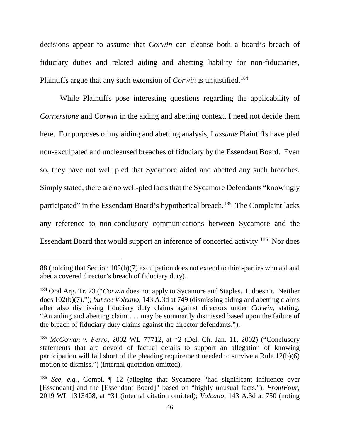decisions appear to assume that *Corwin* can cleanse both a board's breach of fiduciary duties and related aiding and abetting liability for non-fiduciaries, Plaintiffs argue that any such extension of *Corwin* is unjustified. [184](#page-46-0)

While Plaintiffs pose interesting questions regarding the applicability of *Cornerstone* and *Corwin* in the aiding and abetting context, I need not decide them here. For purposes of my aiding and abetting analysis, I *assume* Plaintiffs have pled non-exculpated and uncleansed breaches of fiduciary by the Essendant Board. Even so, they have not well pled that Sycamore aided and abetted any such breaches. Simply stated, there are no well-pled facts that the Sycamore Defendants "knowingly participated" in the Essendant Board's hypothetical breach.<sup>[185](#page-46-1)</sup> The Complaint lacks any reference to non-conclusory communications between Sycamore and the Essendant Board that would support an inference of concerted activity.[186](#page-46-2) Nor does

 $\overline{a}$ 

<sup>88 (</sup>holding that Section 102(b)(7) exculpation does not extend to third-parties who aid and abet a covered director's breach of fiduciary duty).

<span id="page-46-0"></span><sup>184</sup> Oral Arg. Tr. 73 ("*Corwin* does not apply to Sycamore and Staples. It doesn't. Neither does 102(b)(7)."); *but see Volcano*, 143 A.3d at 749 (dismissing aiding and abetting claims after also dismissing fiduciary duty claims against directors under *Corwin*, stating, "An aiding and abetting claim . . . may be summarily dismissed based upon the failure of the breach of fiduciary duty claims against the director defendants.").

<span id="page-46-1"></span><sup>185</sup> *McGowan v. Ferro*, 2002 WL 77712, at \*2 (Del. Ch. Jan. 11, 2002) ("Conclusory statements that are devoid of factual details to support an allegation of knowing participation will fall short of the pleading requirement needed to survive a Rule 12(b)(6) motion to dismiss.") (internal quotation omitted).

<span id="page-46-2"></span><sup>186</sup> *See, e.g.*, Compl. ¶ 12 (alleging that Sycamore "had significant influence over [Essendant] and the [Essendant Board]" based on "highly unusual facts."); *FrontFour*, 2019 WL 1313408, at \*31 (internal citation omitted); *Volcano*, 143 A.3d at 750 (noting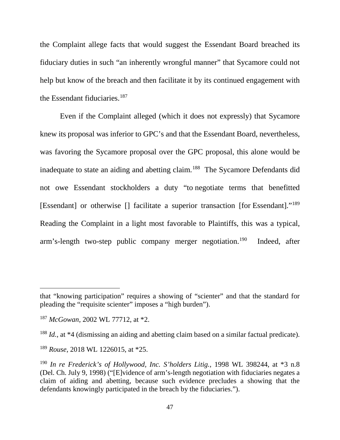the Complaint allege facts that would suggest the Essendant Board breached its fiduciary duties in such "an inherently wrongful manner" that Sycamore could not help but know of the breach and then facilitate it by its continued engagement with the Essendant fiduciaries. $187$ 

Even if the Complaint alleged (which it does not expressly) that Sycamore knew its proposal was inferior to GPC's and that the Essendant Board, nevertheless, was favoring the Sycamore proposal over the GPC proposal, this alone would be inadequate to state an aiding and abetting claim.<sup>[188](#page-47-1)</sup> The Sycamore Defendants did not owe Essendant stockholders a duty "to negotiate terms that benefitted [Essendant] or otherwise [] facilitate a superior transaction [for Essendant]."[189](#page-47-2) Reading the Complaint in a light most favorable to Plaintiffs, this was a typical, arm's-length two-step public company merger negotiation.[190](#page-47-3) Indeed, after

 $\overline{a}$ 

that "knowing participation" requires a showing of "scienter" and that the standard for pleading the "requisite scienter" imposes a "high burden").

<span id="page-47-0"></span><sup>187</sup> *McGowan*, 2002 WL 77712, at \*2.

<span id="page-47-1"></span><sup>188</sup> *Id.*, at \*4 (dismissing an aiding and abetting claim based on a similar factual predicate).

<span id="page-47-2"></span><sup>189</sup> *Rouse*, 2018 WL 1226015, at \*25.

<span id="page-47-3"></span><sup>190</sup> *In re Frederick's of Hollywood, Inc. S'holders Litig.*, 1998 WL 398244, at \*3 n.8 (Del. Ch. July 9, 1998) ("[E]vidence of arm's-length negotiation with fiduciaries negates a claim of aiding and abetting, because such evidence precludes a showing that the defendants knowingly participated in the breach by the fiduciaries.").